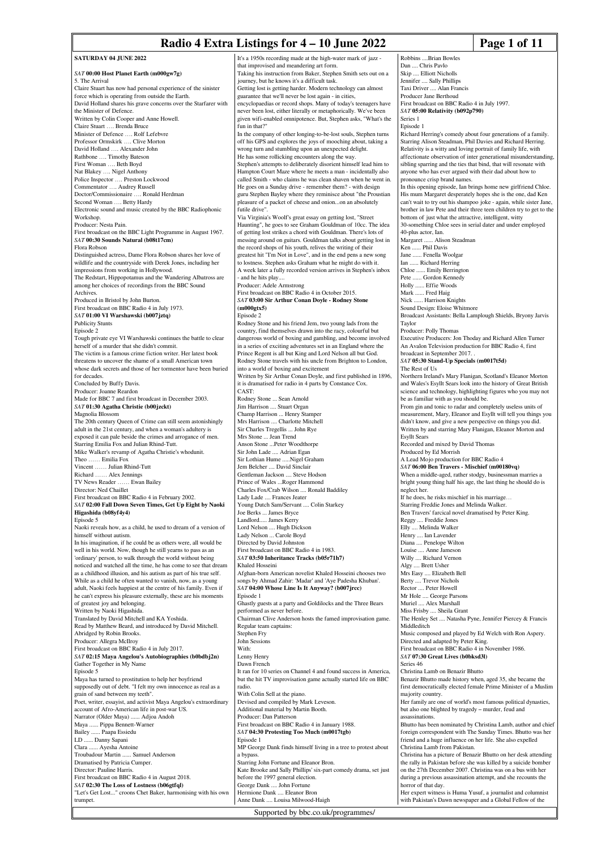# **Radio 4 Extra Listings for 4 – 10 June 2022** Page 1 of 11

fun in that?"

.<br>futile drive

and he hits play...

**(m000gtx5)** Episode 2

CAST:

Khaled Hosseini

Episode 1

Stephen Fry John Sessions With: Lenny Henry Dawn French

radio.

Episode 1

a bypass.

It's a 1950s recording made at the high-water mark of jazz that improvised and meandering art form. Taking his instruction from Baker, Stephen journey, but he knows it's a difficult task. Getting lost is getting harder. Modern technology can almost guarantee that we'll never be lost again - in cities, encyclopaedias or record shops. Many of today's teenagers have never been lost, either literally or metaphorically. We've been given wifi-enabled omnipotence. But, Stephen asks, "What's the In the company of other longing-to-be-lost souls, Stephen turns off his GPS and explores the joys of mooching about, taking a wrong turn and stumbling upon an unexpected delight. He has some rollicking encounters along the way. Stephen's attempts to deliberately disorient himself lead him to Hampton Court Maze where he meets a man - incidentally also called Smith - who claims he was clean shaven when he went in. He goes on a Sunday drive - remember them? - with design guru Stephen Bayley where they reminisce about "the Proustian pleasure of a packet of cheese and onion...on an absolutely Via Virginia's Woolf's great essay on getting lost, "Street Haunting", he goes to see Graham Gouldman of 10cc. The idea of getting lost strikes a chord with Gouldman. There's lots of messing around on guitars. Gouldman talks about getting lost in the record shops of his youth, relives the writing of their greatest hit "I'm Not in Love", and in the end pens a new song to lostness. Stephen asks Graham what he might do with it. A week later a fully recorded version arrives in Stephen's inbox Producer: Adele Armstrong First broadcast on BBC Radio 4 in October 2015. *SAT* **03:00 Sir Arthur Conan Doyle - Rodney Stone** Rodney Stone and his friend Jem, two young lads from the country, find themselves drawn into the racy, colourful but dangerous world of boxing and gambling, and become involved in a series of exciting adventures set in an England where the Prince Regent is all but King and Lord Nelson all but God. Rodney Stone travels with his uncle from Brighton to London, into a world of boxing and excitement Written by Sir Arthur Conan Doyle, and first published in 1896, it is dramatised for radio in 4 parts by Constance Cox. Rodney Stone ... Sean Arnold **Jim Harrison** Stuart Organ Champ Harrison ... Henry Stamper Mrs Harrison .... Charlotte Mitchell Sir Charles Tregellis ... John Rye Mrs Stone ... Jean Trend Anson Stone ...Peter Woodthorpe Sir John Lade .... Adrian Egan Sir Lothian Hume .....Nigel Graham Jem Belcher .... David Sinclair Gentleman Jackson .... Steve Hodson Prince of Wales ...Roger Hammond Charles Fox/Crab Wilson .... Ronald Baddiley Lady Lade .... Frances Jeater Young Dutch Sam/Servant .... Colin Starkey Joe Berks ... James Bryce Landlord..... James Kerry Lord Nelson .... Hugh Dickson Lady Nelson ... Carole Boyd Directed by David Johnston First broadcast on BBC Radio 4 in 1983. *SAT* **03:50 Inheritance Tracks (b05r71h7)** Afghan-born American novelist Khaled Hosseini chooses two songs by Ahmad Zahir: 'Madar' and 'Aye Padesha Khuban'. *SAT* **04:00 Whose Line Is It Anyway? (b007jrcc)** Ghastly guests at a party and Goldilocks and the Three Bears performed as never before. Chairman Clive Anderson hosts the famed improvisation game. Regular team captains: It ran for 10 series on Channel 4 and found success in America, but the hit TV improvisation game actually started life on BBC With Colin Sell at the piano. Devised and compiled by Mark Leveson. Additional material by Martin Booth. Producer: Dan Patterson First broadcast on BBC Radio 4 in January 1988. *SAT* **04:30 Protesting Too Much (m0017tgb)** MP George Dank finds himself living in a tree to protest about Starring John Fortune and Eleanor Bron. Kate Brooke and Sally Phillips' six-part comedy drama, set just before the 1997 general election. George Dank .... John Fortune Hermione Dank .... Eleanor Bron Anne Dank .... Louisa Milwood-Haigh Robbins ... Brian Bowles Dan .... Chris Pavlo ... Elliott Nicholls Jennifer .... Sally Phillips Taxi Driver .... Alan Francis Producer Jane Berthoud First broadcast on BBC Radio 4 in July 1997. *SAT* **05:00 Relativity (b092p790)** Series 1 Episode 1 Richard Herring's comedy about four generations of a family. Starring Alison Steadman, Phil Davies and Richard Herring. Relativity is a witty and loving portrait of family life, with affectionate observation of inter generational misunderstanding, sibling sparring and the ties that bind, that will resonate with anyone who has ever argued with their dad about how to pronounce crisp brand names. In this opening episode, Ian brings home new girlfriend Chloe. His mum Margaret desperately hopes she is the one, dad Ken can't wait to try out his shampoo joke - again, while sister Jane, brother in law Pete and their three teen children try to get to the bottom of just what the attractive, intelligent, witty 30-something Chloe sees in serial dater and under employed 40-plus actor, Ian. Margaret ...... Alison Steadman Ken ...... Phil Davis Jane ...... Fenella Woolgar Ian ...... Richard Herring Chloe ...... Emily Berrington Pete ...... Gordon Kennedy Holly ...... Effie Woods Mark ...... Fred Haig<br>Nick ...... Harrison K ... Harrison Knights Sound Design: Eloise Whitmore Taylor Producer: Polly Thomas Executive Producers: Jon Thoday and Richard Allen Turner broadcast in September 2017. *SAT* **05:30 Stand-Up Specials (m0017t5d)** The Rest of Us be as familiar with as you should be. didn't know, and give a new perspective on things you did. Esyllt Sears Recorded and mixed by David Thomas Produced by Ed Morrish A Lead Mojo production for BBC Radio 4 *SAT* **06:00 Ben Travers - Mischief (m00180vq)** neglect her. If he does, he risks mischief in his marriage… Starring Freddie Jones and Melinda Walker. Ben Travers' farcical novel dramatised by Peter King. Reggy .... Freddie Jones Elly .... Melinda Walker Henry .... Ian Lavender Diana .... Penelope Wilton Louise .... Anne Jameson Willy .... Richard Vernon Algy .... Brett Usher Mrs Easy .... Elizabeth Bell Berty .... Trevor Nichols Rector .... Peter Howell Mr Hole .... George Parsons Muriel .... Alex Marshall Miss Frisby .... Sheila Grant The Henley Set .... Natasha Pyne, Jennifer Piercey & Francis Middleditch Music composed and played by Ed Welch with Ron Aspery. Directed and adapted by Peter King. First broadcast on BBC Radio 4 in November 1986. *SAT* **07:30 Great Lives (b0bksd3l)** Series 46 Christina Lamb on Benazir Bhutto Benazir Bhutto made history when, aged 35, she became the majority country. Her family are one of world's most famous political dynasties, but also one blighted by tragedy – murder, feud and assassinations. Christina Lamb from Pakistan. horror of that day. Her expert witness is Huma Yusuf, a journalist and colu

### **SATURDAY 04 JUNE 2022** *SAT* **00:00 Host Planet Earth (m000gw7g)** 5. The Arrival Claire Stuart has now had personal experience of the sinister force which is operating from outside the Earth. David Holland shares his grave concerns over the Starfarer with the Minister of Defence. Written by Colin Cooper and Anne Howell. Claire Stuart …. Brenda Bruce Minister of Defence …. Rolf Lefebvre Professor Ormskirk …. Clive Morton David Holland …. Alexander John Rathbone …. Timothy Bateson First Woman …. Beth Boyd Nat Blakey …. Nigel Anthony Police Inspector …. Preston Lockwood Commentator …. Audrey Russell Doctor/Commissionaire …. Ronald Herdman Second Woman …. Betty Hardy Electronic sound and music created by the BBC Radiophonic Workshop. Producer: Nesta Pain. First broadcast on the BBC Light Programme in August 1967. *SAT* **00:30 Sounds Natural (b08t17cm)** Flora Robson Distinguished actress, Dame Flora Robson shares her love of wildlife and the countryside with Derek Jones, including her impressions from working in Hollywood. The Redstart, Hippopotamus and the Wandering Albatross are among her choices of recordings from the BBC Sound Archives. Produced in Bristol by John Burton. First broadcast on BBC Radio 4 in July 1973. *SAT* **01:00 VI Warshawski (b007jztq)** Publicity Stunts Episode 2 Tough private eye VI Warshawski continues the battle to clear herself of a murder that she didn't commit. The victim is a famous crime fiction writer. Her latest book

threatens to uncover the shame of a small American town whose dark secrets and those of her tormentor have been buried for decades. Concluded by Buffy Davis. Producer: Joanne Reardon Made for BBC 7 and first broadcast in December 2003. *SAT* **01:30 Agatha Christie (b00jzckt)** Magnolia Blossom The 20th century Queen of Crime can still seem astonishingly adult in the 21st century, and when a woman's adultery is exposed it can pale beside the crimes and arrogance of men. Starring Emilia Fox and Julian Rhind-Tutt. Mike Walker's revamp of Agatha Christie's whodunit.

Theo …… Emilia Fox Vincent …… Julian Rhind-Tutt Richard …… Alex Jennings TV News Reader …… Ewan Bailey Director: Ned Chaillet First broadcast on BBC Radio 4 in February 2002. *SAT* **02:00 Fall Down Seven Times, Get Up Eight by Naoki Higashida (b08yf4y4)** Episode 5 Naoki reveals how, as a child, he used to dream of a version of

In his imagination, if he could be as others were, all would be well in his world. Now, though he still yearns to pass as an 'ordinary' person, to walk through the world without being noticed and watched all the time, he has come to see that dream as a childhood illusion, and his autism as part of his true self. While as a child he often wanted to vanish, now, as a young adult, Naoki feels happiest at the centre of his family. Even if he can't express his pleasure externally, these are his moments of greatest joy and belonging. Written by Naoki Higashida. Translated by David Mitchell and KA Yoshida. Read by Matthew Beard, and introduced by David Mitchell. Abridged by Robin Brooks. Producer: Allegra McIlroy First broadcast on BBC Radio 4 in July 2017. *SAT* **02:15 Maya Angelou's Autobiographies (b0bdbj2n)** Gather Together in My Name Episode 5 Maya has turned to prostitution to help her boyfriend supposedly out of debt. "I felt my own innocence as real as a grain of sand between my teeth' Poet, writer, essayist, and activist Maya Angelou's extraordinary account of Afro-American life in post-war US. Narrator (Older Maya) ...... Adjoa Andoh Maya ...... Pippa Bennett-Warner Bailey ...... Paapa Essiedu LD ...... Danny Sapani Clara ...... Ayesha Antoine Troubadour Martin ...... Samuel Anderson Dramatised by Patricia Cumper. Director: Pauline Harris. First broadcast on BBC Radio 4 in August 2018. *SAT* **02:30 The Loss of Lostness (b06gtfql)** "Let's Get Lost..." croons Chet Baker, harmonising with his own

himself without autism.

trumpet.

Broadcast Assistants: Bella Lamplough Shields, Bryony Jarvis

An Avalon Television production for BBC Radio 4, first

Northern Ireland's Mary Flanigan, Scotland's Eleanor Morton and Wales's Esyllt Sears look into the history of Great British science and technology, highlighting figures who you may not From gin and tonic to radar and completely useless units of measurement, Mary, Eleanor and Esyllt will tell you things you Written by and starring Mary Flanigan, Eleanor Morton and

When a middle-aged, rather stodgy, businessman marries a bright young thing half his age, the last thing he should do is

first democratically elected female Prime Minister of a Muslim

Bhutto has been nominated by Christina Lamb, author and chief foreign correspondent with The Sunday Times. Bhutto was her friend and a huge influence on her life. She also expelled

Christina has a picture of Benazir Bhutto on her desk attending the rally in Pakistan before she was killed by a suicide bomber on the 27th December 2007. Christina was on a bus with her during a previous assassination attempt, and she recounts the

with Pakistan's Dawn newspaper and a Global Fellow of the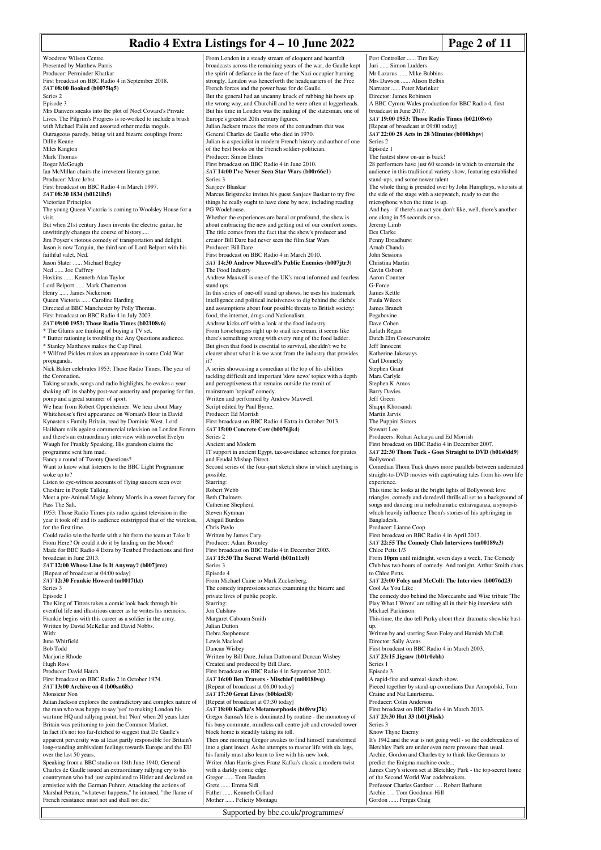## **Radio 4 Extra Listings for 4 – 10 June 2022** Page 2 of 11

Woodrow Wilson Centre. Presented by Matthew Parris Producer: Perminder Khatkar First broadcast on BBC Radio 4 in September 2018. *SAT* **08:00 Booked (b0075lq5)** Series 2 Episode 3 Mrs Danvers sneaks into the plot of Noel Coward's Private Lives. The Pilgrim's Progress is re-worked to include a brush with Michael Palin and assorted other media moguls. Outrageous parody, biting wit and bizarre couplings from: Dillie Keane Miles Kington Mark Thomas Roger McGough Ian McMillan chairs the irreverent literary game. Producer: Marc Jobst First broadcast on BBC Radio 4 in March 1997. *SAT* **08:30 1834 (b0121lh5)** Victorian Principles The young Queen Victoria is coming to Woolsley House for a visit. But when 21st century Jason invents the electric guitar, he unwittingly changes the course of history..... Jim Poyser's riotous comedy of transportation and delight. Jason is now Tarquin, the third son of Lord Belport with his faithful valet, Ned. Jason Slater ...... Michael Begley Ned ...... Joe Caffrey Hoskins ...... Kenneth Alan Taylor Lord Belport ...... Mark Chatterton Henry ...... James Nickerson Queen Victoria ...... Caroline Harding Directed at BBC Manchester by Polly Thomas. First broadcast on BBC Radio 4 in July 2003. *SAT* **09:00 1953: Those Radio Times (b02108v6)** \* The Glums are thinking of buying a TV set. \* Butter rationing is troubling the Any Questions audience. \* Stanley Matthews makes the Cup Final. \* Wilfred Pickles makes an appearance in some Cold War propaganda. Nick Baker celebrates 1953: Those Radio Times. The year of the Coronation Taking sounds, songs and radio highlights, he evokes a year shaking off its shabby post-war austerity and preparing for fun, pomp and a great summer of sport. We hear from Robert Oppenheimer. We hear about Mary Whitehouse's first appearance on Woman's Hour in David Kynaston's Family Britain, read by Dominic West. Lord Hailsham rails against commercial television on London Forum and there's an extraordinary interview with novelist Evelyn Waugh for Frankly Speaking. His grandson claims the programme sent him mad. Fragministration in the main Want to know what listeners to the BBC Light Programme woke up to? Listen to eye-witness accounts of flying saucers seen over Cheshire in People Talking. Meet a pre-Animal Magic Johnny Morris in a sweet factory for Pass The Salt. 1953: Those Radio Times pits radio against television in the year it took off and its audience outstripped that of the wireless, for the first time. Could radio win the battle with a hit from the team at Take It From Here? Or could it do it by landing on the Moon? Made for BBC Radio 4 Extra by Testbed Productions and first broadcast in June 2013. *SAT* **12:00 Whose Line Is It Anyway? (b007jrcc)** [Repeat of broadcast at 04:00 today] *SAT* **12:30 Frankie Howerd (m0017tkt)** Series 3 Episode 1 The King of Titters takes a comic look back through his eventful life and illustrious career as he writes his memoirs. Frankie begins with this career as a soldier in the army. Written by David McKellar and David Nobbs. With: June Whitfield Bob Todd Marjorie Rhode Hugh Ross Producer: David Hatch. First broadcast on BBC Radio 2 in October 1974. *SAT* **13:00 Archive on 4 (b00sn68x)** Monsieur Non Julian Jackson explores the contradictory and complex nature of the man who was happy to say 'yes' to making London his wartime HQ and rallying point, but 'Non' when 20 years later Britain was petitioning to join the Common Market. Series 3 Sanjeev Bhaskar PG Wodehouse. stand ups. it? Series 2 possible. Starring: Robert Webb Beth Chalmers Steven Kynman Abigail Burdess Chris Pavlo Series 3 Episode 4 .<br>Starring: Jon Culshaw Julian Dutton Lewis Macleod Duncan Wisbey

apparent perversity was at least partly responsible for Britain's long-standing ambivalent feelings towards Europe and the EU over the last 50 years. Speaking from a BBC studio on 18th June 1940, General Charles de Gaulle issued an extraordinary rallying cry to his countrymen who had just capitulated to Hitler and declared an armistice with the German Fuhrer. Attacking the actions of Marshal Petain, "whatever happens," he intoned, "the flame of French resistance must not and shall not die."

In fact it's not too far-fetched to suggest that De Gaulle's

From London in a steady stream of eloquent and heartfelt broadcasts across the remaining years of the war, de Gaulle kept the spirit of defiance in the face of the Nazi occupier burning strongly. London was henceforth the headquarters of the Free French forces and the power base for de Gaulle. But the general had an uncanny knack of rubbing his hosts up the wrong way, and Churchill and he were often at loggerheads. But his time in London was the making of the statesman, one of Europe's greatest 20th century figures. Julian Jackson traces the roots of the conundrum that was General Charles de Gaulle who died in 1970. Julian is a specialist in modern French history and author of one of the best books on the French soldier-politician. Producer: Simon Elmes First broadcast on BBC Radio 4 in June 2010. *SAT* **14:00 I've Never Seen Star Wars (b00r66c1)** Marcus Brigstocke invites his guest Sanjeev Baskar to try five things he really ought to have done by now, including reading Whether the experiences are banal or profound, the show is about embracing the new and getting out of our comfort zones. The title comes from the fact that the show's producer and creator Bill Dare had never seen the film Star Wars. Producer: Bill Dare First broadcast on BBC Radio 4 in March 2010. *SAT* **14:30 Andrew Maxwell's Public Enemies (b007jtr3)** The Food Industry Andrew Maxwell is one of the UK's most informed and fearless In this series of one-off stand up shows, he uses his trademark intelligence and political incisiveness to dig behind the clichés and assumptions about four possible threats to British society: food, the internet, drugs and Nationalism. Andrew kicks off with a look at the food industry. From horseburgers right up to snail ice-cream, it seems like there's something wrong with every rung of the food ladder. But given that food is essential to survival, shouldn't we be clearer about what it is we want from the industry that provides A series showcasing a comedian at the top of his abilities tackling difficult and important 'slow news' topics with a depth and perceptiveness that remains outside the remit of mainstream 'topical' comedy. Written and performed by Andrew Maxwell. Script edited by Paul Byrne. Producer: Ed Morrish First broadcast on BBC Radio 4 Extra in October 2013. *SAT* **15:00 Concrete Cow (b0076jk4)** Ancient and Modern IT support in ancient Egypt, tax-avoidance schemes for pirates and Feudal Mishap Direct. Second series of the four-part sketch show in which anything is Catherine Shepherd Written by James Cary. Producer: Adam Bromley First broadcast on BBC Radio 4 in December 2003. *SAT* **15:30 The Secret World (b01n11x0)** From Michael Caine to Mark Zuckerberg. The comedy impressions series examining the bizarre and private lives of public people. Margaret Cabourn Smith Debra Stephenson Written by Bill Dare, Julian Dutton and Duncan Wisbey Created and produced by Bill Dare. First broadcast on BBC Radio 4 in September 2012. *SAT* **16:00 Ben Travers - Mischief (m00180vq)** [Repeat of broadcast at 06:00 today] *SAT* **17:30 Great Lives (b0bksd3l)** [Repeat of broadcast at 07:30 today] *SAT* **18:00 Kafka's Metamorphosis (b08vwj7k)** Gregor Samsa's life is dominated by routine - the monotony of his busy commute, mindless call centre job and crowded tower block home is steadily taking its toll. Then one morning Gregor awakes to find himself transformed into a giant insect. As he attempts to master life with six legs, his family must also learn to live with his new look. Writer Alan Harris gives Franz Kafka's classic a modern twist with a darkly comic edge. Gregor ...... Tom Basden Grete ...... Emma Sidi Father ...... Kenneth Collard

Pest Controller ...... Tim Key Juri ...... Simon Ludders Mr Lazarus ...... Mike Bubbins Mrs Dawson ...... Alison Belbin Narrator ...... Peter Marinker Director: James Robinson A BBC Cymru Wales production for BBC Radio 4, first broadcast in June 2017. *SAT* **19:00 1953: Those Radio Times (b02108v6)** [Repeat of broadcast at 09:00 today] *SAT* **22:00 28 Acts in 28 Minutes (b008khpv)** Series 2 Episode 1 The fastest show on-air is back! 28 performers have just 60 seconds in which to entertain the audience in this traditional variety show, featuring established stand-ups, and some newer talent The whole thing is presided over by John Humphrys, who sits at the side of the stage with a stopwatch, ready to cut the microphone when the time is up. And hey - if there's an act you don't like, well, there's another one along in 55 seconds or so... Jeremy Limb Des Clarke Penny Broadhurst Arnab Chanda John Sessions Christina Martin Gavin Osborn Aaron Counter G-Force James Kettle Paula Wilcox James Branch Pegabovine Dave Cohen Jarlath Regan Dutch Elm Conservatoire Jeff Innocent Katherine Jakeways Carl Donnelly Stephen Grant Mara Carlyle Stephen K Amos Barry Davies Jeff Green Shappi Khorsandi Martin Jarvis The Puppini Sisters Stewart Lee Producers: Rohan Acharya and Ed Morrish First broadcast on BBC Radio 4 in December 2007. *SAT* **22:30 Thom Tuck - Goes Straight to DVD (b01s0dd9)** Bollywood Comedian Thom Tuck draws more parallels between underrated straight-to-DVD movies with captivating tales from his own life experience. This time he looks at the bright lights of Bollywood: love triangles, comedy and daredevil thrills all set to a background of songs and dancing in a melodramatic extravaganza, a synopsis which heavily influence Thom's stories of his upbringing in Bangladesh. Producer: Lianne Coop First broadcast on BBC Radio 4 in April 2013. *SAT* **22:55 The Comedy Club Interviews (m00189z3)** Chloe Petts 1/3 From **10pm** until midnight, seven days a week, The Comedy Club has two hours of comedy. And tonight, Arthur Smith chats to Chloe Petts. *SAT* **23:00 Foley and McColl: The Interview (b0076d23)** Cool As You Like The comedy duo behind the Morecambe and Wise tribute 'The Play What I Wrote' are telling all in their big interview with Michael Parkinson. This time, the duo tell Parky about their dramatic showbiz bustup. Written by and starring Sean Foley and Hamish McColl. Director: Sally Avens First broadcast on BBC Radio 4 in March 2003. *SAT* **23:15 Jigsaw (b01r0zbh)** Series 1 Episode 3 A rapid-fire and surreal sketch show. Pieced together by stand-up comedians Dan Antopolski, Tom Craine and Nat Luurtsema. Producer: Colin Anderson First broadcast on BBC Radio 4 in March 2013. *SAT* **23:30 Hut 33 (b01j9hsk)** Series 3 Know Thyne Enemy It's 1942 and the war is not going well - so the codebreakers of Bletchley Park are under even more pressure than usual. Archie, Gordon and Charles try to think like Germans to predict the Enigma machine code... James Cary's sitcom set at Bletchley Park - the top-secret home of the Second World War codebreakers. Professor Charles Gardner …. Robert Bathurst Archie …. Tom Goodman-Hill Gordon ...... Fergus Craig

Supported by bbc.co.uk/programmes/

Mother ...... Felicity Montagu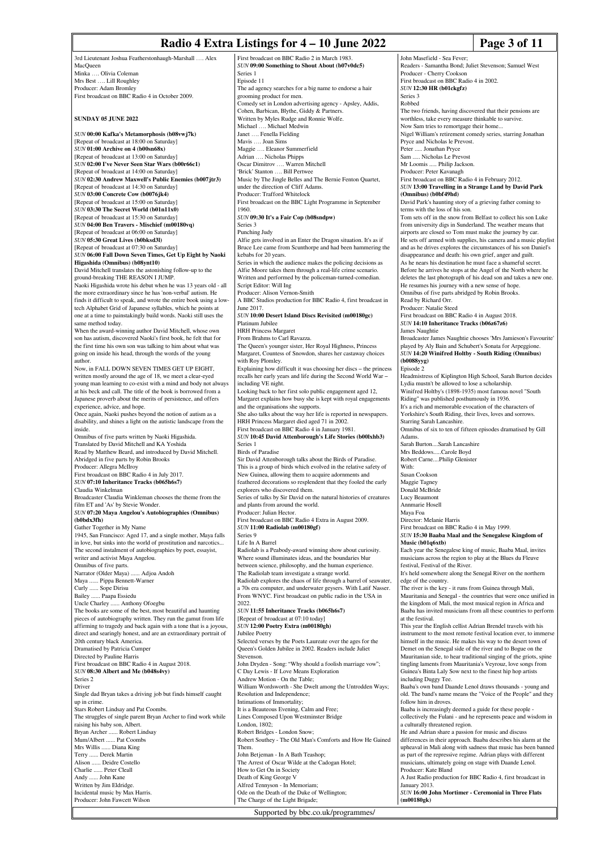## **Radio 4 Extra Listings for 4 – 10 June 2022 Page 3 of 11**

John Masefield - Sea Fever;

Producer - Cherry Cookson First broadcast on BBC Radio 4 in 2002. *SUN* **12:30 HR (b01ckgfz)**

Series 3 Robbed

Readers - Samantha Bond; Juliet Stevenson; Samuel West

The two friends, having discovered that their pensions are worthless, take every measure thinkable to survive. Now Sam tries to remortgage their home.

Nigel William's retirement comedy series, starring Jonathan

3rd Lieutenant Joshua Featherstonhaugh-Marshall …. Alex MacQueen Minka …. Olivia Coleman Mrs Best …. Lill Roughley Producer: Adam Bromley First broadcast on BBC Radio 4 in October 2009. **SUNDAY 05 JUNE 2022** *SUN* **00:00 Kafka's Metamorphosis (b08vwj7k)** [Repeat of broadcast at 18:00 on Saturday] *SUN* **01:00 Archive on 4 (b00sn68x)** [Repeat of broadcast at 13:00 on Saturday] *SUN* **02:00 I've Never Seen Star Wars (b00r66c1)** [Repeat of broadcast at 14:00 on Saturday] *SUN* **02:30 Andrew Maxwell's Public Enemies (b007jtr3)** [Repeat of broadcast at 14:30 on Saturday] *SUN* **03:00 Concrete Cow (b0076jk4)** [Repeat of broadcast at 15:00 on Saturday] *SUN* **03:30 The Secret World (b01n11x0)** [Repeat of broadcast at 15:30 on Saturday] *SUN* **04:00 Ben Travers - Mischief (m00180vq)** [Repeat of broadcast at 06:00 on Saturday] *SUN* **05:30 Great Lives (b0bksd3l)** [Repeat of broadcast at 07:30 on Saturday] *SUN* **06:00 Fall Down Seven Times, Get Up Eight by Naoki Higashida (Omnibus) (b08ynt10)** David Mitchell translates the astonishing follow-up to the ground-breaking THE REASON I JUMP. Naoki Higashida wrote his debut when he was 13 years old - all the more extraordinary since he has 'non-verbal' autism. He finds it difficult to speak, and wrote the entire book using a lowtech Alphabet Grid of Japanese syllables, which he points at one at a time to painstakingly build words. Naoki still uses the same method today. When the award-winning author David Mitchell, whose own son has autism, discovered Naoki's first book, he felt that for the first time his own son was talking to him about what was going on inside his head, through the words of the young author. Now, in FALL DOWN SEVEN TIMES GET UP EIGHT, written mostly around the age of 18, we meet a clear-eyed young man learning to co-exist with a mind and body not alway at his beck and call. The title of the book is borrowed from a Japanese proverb about the merits of persistence, and offers experience, advice, and hope. Once again, Naoki pushes beyond the notion of autism as a disability, and shines a light on the autistic landscape from the inside. Omnibus of five parts written by Naoki Higashida. Translated by David Mitchell and KA Yoshida Read by Matthew Beard, and introduced by David Mitchell. Abridged in five parts by Robin Brooks Producer: Allegra McIlroy First broadcast on BBC Radio 4 in July 2017. *SUN* **07:10 Inheritance Tracks (b065h6s7)** Claudia Winkelman Broadcaster Claudia Winkleman chooses the theme from the film ET and 'As' by Stevie Wonder. *SUN* **07:20 Maya Angelou's Autobiographies (Omnibus) (b0bdx3fh)** Gather Together in My Name 1945, San Francisco: Aged 17, and a single mother, Maya falls in love, but sinks into the world of prostitution and narcotics... The second instalment of autobiographies by poet, essayist, writer and activist Maya Angelou. Omnibus of five parts. Narrator (Older Maya) ...... Adjoa Andoh Maya ...... Pippa Bennett-Warner Curly ...... Sope Dirisu Bailey ...... Paapa Essiedu Uncle Charley ...... Anthony Ofoegbu The books are some of the best, most beautiful and haunting pieces of autobiography written. They run the gamut from life affirming to tragedy and back again with a tone that is a joyous, direct and searingly honest, and are an extraordinary portrait of 20th century black America. Dramatised by Patricia Cumper Directed by Pauline Harris First broadcast on BBC Radio 4 in August 2018. *SUN* **08:30 Albert and Me (b048s4vy)** Series 2 Driver Single dad Bryan takes a driving job but finds himself caught up in crime. Stars Robert Lindsay and Pat Coombs. The struggles of single parent Bryan Archer to find work while raising his baby son, Albert. Bryan Archer ...... Robert Lindsay Mum/Albert ...... Pat Coombs Mrs Willis ...... Diana King Terry ...... Derek Martin Alison ...... Deidre Costello Charlie ...... Peter Cleall Andy ...... John Kane Written by Jim Eldridge. Incidental music by Max Harris. Producer: John Fawcett Wilson Series 1 Episode 11 1960. Series 3 June 2017. Series 1 Series 9 2022. Stevenson. Them. The Charge of the Light Brigade;

First broadcast on BBC Radio 2 in March 1983. *SUN* **09:00 Something to Shout About (b07v0dc5)** The ad agency searches for a big name to endorse a hair grooming product for men. Comedy set in London advertising agency - Apsley, Addis, Cohen, Barbican, Blythe, Giddy & Partners. Written by Myles Rudge and Ronnie Wolfe. Michael …. Michael Medwin Janet …. Fenella Fielding Mavis …. Joan Sims Maggie …. Eleanor Summerfield Adrian …. Nicholas Phipps Oscar Dimitrov …. Warren Mitchell 'Brick' Stanton …. Bill Pertwee Music by The Jingle Belles and The Bernie Fenton Quartet, under the direction of Cliff Adams. Producer: Trafford Whitelock First broadcast on the BBC Light Programme in September *SUN* **09:30 It's a Fair Cop (b08sndpw)** Punching Judy Alfie gets involved in an Enter the Dragon situation. It's as if Bruce Lee came from Scunthorpe and had been hammering the kebabs for 20 years. Series in which the audience makes the policing decisions as Alfie Moore takes them through a real-life crime scenario. Written and performed by the policeman-turned-comedian. Script Editor: Will Ing Producer: Alison Vernon-Smith A BBC Studios production for BBC Radio 4, first broadcast in *SUN* **10:00 Desert Island Discs Revisited (m00180gc)** Platinum Jubilee HRH Princess Margaret From Brahms to Carl Ravazza. The Queen's younger sister, Her Royal Highness, Princess Margaret, Countess of Snowdon, shares her castaway choices with Roy Plomley. Explaining how difficult it was choosing her discs – the princess recalls her early years and life during the Second World War – including VE night. Looking back to her first solo public engagement aged 12, Margaret explains how busy she is kept with royal engagements and the organisations she supports. She also talks about the way her life is reported in newspapers. HRH Princess Margaret died aged 71 in 2002. First broadcast on BBC Radio 4 in January 1981. *SUN* **10:45 David Attenborough's Life Stories (b00lxhb3)** Birds of Paradise Sir David Attenborough talks about the Birds of Paradise. This is a group of birds which evolved in the relative safety of New Guinea, allowing them to acquire adornments and feathered decorations so resplendent that they fooled the early explorers who discovered them. Series of talks by Sir David on the natural histories of creatures and plants from around the world. Producer: Julian Hector. First broadcast on BBC Radio 4 Extra in August 2009. *SUN* **11:00 Radiolab (m00180gf)** Life In A Barrel Radiolab is a Peabody-award winning show about curiosity. Where sound illuminates ideas, and the boundaries blur between science, philosophy, and the human experience. The Radiolab team investigate a strange world. Radiolab explores the chaos of life through a barrel of seawater, a 70s era computer, and underwater geysers. With Latif Nasser. From WNYC. First broadcast on public radio in the USA in *SUN* **11:55 Inheritance Tracks (b065h6s7)** [Repeat of broadcast at 07:10 today] *SUN* **12:00 Poetry Extra (m00180gh)** Jubilee Poetry Selected verses by the Poets Laureate over the ages for the Queen's Golden Jubilee in 2002. Readers include Juliet John Dryden - Song: "Why should a foolish marriage vow"; C Day Lewis - If Love Means Exploration Andrew Motion - On the Table; William Wordsworth - She Dwelt among the Untrodden Ways; Resolution and Independence; Intimations of Immortality; It is a Beauteous Evening, Calm and Free; Lines Composed Upon Westminster Bridge London, 1802; Robert Bridges - London Snow; Robert Southey - The Old Man's Comforts and How He Gained John Betjeman - In A Bath Teashop; The Arrest of Oscar Wilde at the Cadogan Hotel; How to Get On in Society Death of King George V Alfred Tennyson - In Memoriam; Ode on the Death of the Duke of Wellington;

Supported by bbc.co.uk/programmes/

Pryce and Nicholas le Prevost. Peter ..... Jonathan Pryce Sam ..... Nicholas Le Prevost Mr Loomis ..... Philip Jackson. Producer: Peter Kavanagh First broadcast on BBC Radio 4 in February 2012. *SUN* **13:00 Travelling in a Strange Land by David Park (Omnibus) (b0bf49hd)** David Park's haunting story of a grieving father coming to terms with the loss of his son. Tom sets off in the snow from Belfast to collect his son Luke from university digs in Sunderland. The weather means that airports are closed so Tom must make the journey by car. He sets off armed with supplies, his camera and a music playlist and as he drives explores the circumstances of his son Daniel's disappearance and death: his own grief, anger and guilt. As he nears his destination he must face a shameful secret. Before he arrives he stops at the Angel of the North where he deletes the last photograph of his dead son and takes a new one. He resumes his journey with a new sense of hope. Omnibus of five parts abridged by Robin Brooks. Read by Richard Orr. Producer: Natalie Steed First broadcast on BBC Radio 4 in August 2018. *SUN* **14:10 Inheritance Tracks (b06z67z6)** James Naughtie Broadcaster James Naughtie chooses 'Mrs Jamieson's Favourite' played by Aly Bain and Schubert's Sonata for Arpeggione. *SUN* **14:20 Winifred Holtby - South Riding (Omnibus) (b0088yyg)** Episode 2 Headmistress of Kiplington High School, Sarah Burton decides Lydia mustn't be allowed to lose a scholarship. Winifred Holtby's (1898-1935) most famous novel "South Riding" was published posthumously in 1936. It's a rich and memorable evocation of the characters of Yorkshire's South Riding, their lives, loves and sorrows. Starring Sarah Lancashire. Omnibus of six to ten of fifteen episodes dramatised by Gill Adams. Sarah Burton....Sarah Lancashire Mrs Beddows.....Carole Boyd Robert Carne....Philip Glenister With: Susan Cookson Maggie Tagney Donald McBride Lucy Beaumont Annmarie Hosell Maya Foa Director: Melanie Harris First broadcast on BBC Radio 4 in May 1999. *SUN* **15:30 Baaba Maal and the Senegalese Kingdom of Music (b01q6xtb)** Each year the Senegalese king of music, Baaba Maal, invites musicians across the region to play at the Blues du Fleuve festival, Festival of the River. It's held somewhere along the Senegal River on the northern edge of the country. The river is the key - it runs from Guinea through Mali, Mauritania and Senegal - the countries that were once unified in the kingdom of Mali, the most musical region in Africa and Baaba has invited musicians from all these countries to perform at the festival. This year the English cellist Adrian Brendel travels with his instrument to the most remote festival location ever, to immerhimself in the music. He makes his way to the desert town of Demet on the Senegal side of the river and to Bogue on the Mauritanian side, to hear traditional singing of the griots, spine tingling laments from Mauritania's Veyrouz, love songs from Guinea's Binta Laly Sow next to the finest hip hop artists including Duggy Tee. Baaba's own band Daande Lenol draws thousands - young and old. The band's name means the "Voice of the People" and they follow him in droves. Baaba is increasingly deemed a guide for these people collectively the Fulani - and he represents peace and wisdom in a culturally threatened region. He and Adrian share a passion for music and discuss differences in their approach. Baaba describes his alarm at the upheaval in Mali along with sadness that music has been banned as part of the repressive regime. Adrian plays with different musicians, ultimately going on stage with Daande Lenol. Producer: Kate Bland A Just Radio production for BBC Radio 4, first broadcast in

January 2013. *SUN* **16:00 John Mortimer - Ceremonial in Three Flats (m00180gk)**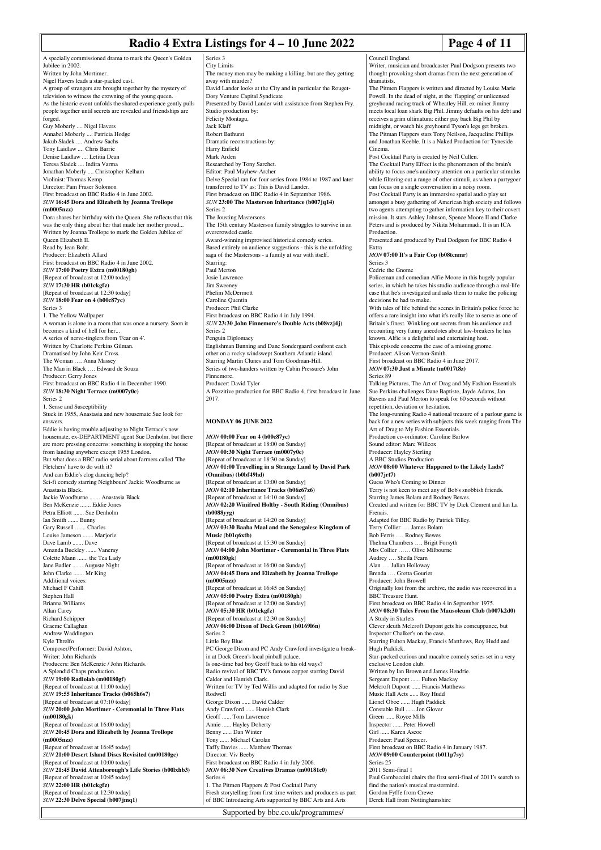### **Radio 4 Extra Listings for 4 – 10 June 2022 Page 4 of 11**

A specially commissioned drama to mark the Queen's Golden Jubilee in 2002. Written by John Mortimer. Nigel Havers leads a star-packed cast. A group of strangers are brought together by the mystery of television to witness the crowning of the young queen. As the historic event unfolds the shared experience gently pulls people together until secrets are revealed and friendships are forged. Guy Moberly .... Nigel Havers Annabel Moberly .... Patricia Hodge Jakub Sladek .... Andrew Sachs Tony Laidlaw .... Chris Barrie Denise Laidlaw .... Letitia Dean Teresa Sladek .... Indira Varma Jonathan Moberly .... Christopher Kelham Violinist: Thomas Kemp Director: Pam Fraser Solomon First broadcast on BBC Radio 4 in June 2002. *SUN* **16:45 Dora and Elizabeth by Joanna Trollope (m0005nzz)** Dora shares her birthday with the Queen. She reflects that this was the only thing about her that made her mother proud... Written by Joanna Trollope to mark the Golden Jubilee of Queen Elizabeth II. Read by Jean Boht. Producer: Elizabeth Allard First broadcast on BBC Radio 4 in June 2002. *SUN* **17:00 Poetry Extra (m00180gh)** [Repeat of broadcast at 12:00 today] *SUN* **17:30 HR (b01ckgfz)** [Repeat of broadcast at 12:30 today] *SUN* **18:00 Fear on 4 (b00c87yc)** Series 3 1. The Yellow Wallpaper A woman is alone in a room that was once a nursery. Soon it becomes a kind of hell for her... A series of nerve-tinglers from 'Fear on 4'. Written by Charlotte Perkins Gilman. Dramatised by John Keir Cross. The Woman …. Anna Massey The Man in Black .... Edward de Souza Producer: Gerry Jones First broadcast on BBC Radio 4 in December 1990. *SUN* **18:30 Night Terrace (m0007y0c)** Series 2 1. Sense and Susceptibility Stuck in 1955, Anastasia and new housemate Sue look for answers. Eddie is having trouble adjusting to Night Terrace's new housemate, ex-DEPARTMENT agent Sue Denholm, but there are more pressing concerns: something is stopping the house from landing anywhere except 1955 London. But what does a BBC radio serial about farmers called 'The Fletchers' have to do with it? And can Eddie's clog dancing help? Sci-fi comedy starring Neighbours' Jackie Woodburne as Anastasia Black. Jackie Woodburne ....... Anastasia Black Ben McKenzie ....... Eddie Jones Petra Elliott ....... Sue Denholm Ian Smith ....... Bunny Gary Russell ....... Charles Louise Jameson ....... Marjorie Dave Lamb ....... Dave Amanda Buckley ....... Vaneray Colette Mann ....... the Tea Lady Jane Badler ....... Auguste Night John Clarke ....... Mr King Additional voices: Michael F Cahill Stephen Hall Brianna Williams Allan Carey Richard Schipper Graeme Callaghan Andrew Waddington Kyle Threlfo Composer/Performer: David Ashton, Writer: John Richards Producers: Ben McKenzie / John Richards. A Splendid Chaps production. *SUN* **19:00 Radiolab (m00180gf)** [Repeat of broadcast at 11:00 today] *SUN* **19:55 Inheritance Tracks (b065h6s7)** [Repeat of broadcast at 07:10 today] *SUN* **20:00 John Mortimer - Ceremonial in Three Flats (m00180gk)** [Repeat of broadcast at 16:00 today] *SUN* **20:45 Dora and Elizabeth by Joanna Trollope (m0005nzz)** [Repeat of broadcast at 16:45 today] *SUN* **21:00 Desert Island Discs Revisited (m00180gc)** [Repeat of broadcast at 10:00 today] *SUN* **21:45 David Attenborough's Life Stories (b00lxhb3)** [Repeat of broadcast at 10:45 today] *SUN* **22:00 HR (b01ckgfz)** [Repeat of broadcast at 12:30 today] *SUN* **22:30 Delve Special (b007jmq1)**

Series 3 City Limits The money men may be making a killing, but are they getting away with murder? David Lander looks at the City and in particular the Rouget-Dory Venture Capital Syndicate Presented by David Lander with assistance from Stephen Fry. Studio production by: Felicity Montagu, Jack Klaff Robert Bathurst Dramatic reconstructions by: Harry Enfield Mark Arden Researched by Tony Sarchet. Editor: Paul Mayhew-Archer Delve Special ran for four series from 1984 to 1987 and later transferred to TV as: This is David Lander. First broadcast on BBC Radio 4 in September 1986. *SUN* **23:00 The Masterson Inheritance (b007jq14)** Series 2 The Jousting Mastersons The 15th century Masterson family struggles to survive in an overcrowded castle. Award-winning improvised historical comedy series. Based entirely on audience suggestions - this is the unfolding saga of the Mastersons - a family at war with itself. Starring: Paul Merton Josie Lawrence Jim Sweeney Phelim McDermott Caroline Quentin Producer: Phil Clarke First broadcast on BBC Radio 4 in July 1994. *SUN* **23:30 John Finnemore's Double Acts (b08vzj4j)** Series 2 Penguin Diplomacy Englishman Bunning and Dane Sondergaard confront each other on a rocky windswept Southern Atlantic island. Starring Martin Clunes and Tom Goodman-Hill. Series of two-handers written by Cabin Pressure's John Finnemore. Producer: David Tyler A Pozzitive production for BBC Radio 4, first broadcast in June 2017. **MONDAY 06 JUNE 2022** *MON* **00:00 Fear on 4 (b00c87yc)** [Repeat of broadcast at 18:00 on Sunday] *MON* **00:30 Night Terrace (m0007y0c)** [Repeat of broadcast at 18:30 on Sunday] *MON* **01:00 Travelling in a Strange Land by David Park (Omnibus) (b0bf49hd)** [Repeat of broadcast at 13:00 on Sunday] *MON* **02:10 Inheritance Tracks (b06z67z6)** [Repeat of broadcast at 14:10 on Sunday] *MON* **02:20 Winifred Holtby - South Riding (Omnibus) (b0088yyg)** [Repeat of broadcast at 14:20 on Sunday] *MON* **03:30 Baaba Maal and the Senegalese Kingdom of Music (b01q6xtb)** [Repeat of broadcast at 15:30 on Sunday] *MON* **04:00 John Mortimer - Ceremonial in Three Flats (m00180gk)** [Repeat of broadcast at 16:00 on Sunday] *MON* **04:45 Dora and Elizabeth by Joanna Trollope (m0005nzz)** [Repeat of broadcast at 16:45 on Sunday] *MON* **05:00 Poetry Extra (m00180gh)** [Repeat of broadcast at 12:00 on Sunday] *MON* **05:30 HR (b01ckgfz)** [Repeat of broadcast at 12:30 on Sunday] *MON* **06:00 Dixon of Dock Green (b0169l6n)** Series 2 Little Boy Blue PC George Dixon and PC Andy Crawford investigate a breakin at Dock Green's local pinball palace. Is one-time bad boy Geoff back to his old ways? Radio revival of BBC TV's famous copper starring David Calder and Hamish Clark. Written for TV by Ted Willis and adapted for radio by Sue Rodwell George Dixon ...... David Calder Andy Crawford ...... Hamish Clark Geoff ...... Tom Lawrence Annie ...... Hayley Doherty Benny ...... Dan Winter Tony ...... Michael Carolan Taffy Davies ...... Matthew Thomas Director: Viv Beeby First broadcast on BBC Radio 4 in July 2006. *MON* **06:30 New Creatives Dramas (m00181c0)** Series 4 1. The Pitmen Flappers & Post Cocktail Party Fresh storytelling from first time writers and producers as part of BBC Introducing Arts supported by BBC Arts and Arts

#### thought provoking short dramas from the next generation of dramatists. The Pitmen Flappers is written and directed by Louise Marie Powell. In the dead of night, at the 'flapping' or unlicensed greyhound racing track of Wheatley Hill, ex-miner Jimmy meets local loan shark Big Phil. Jimmy defaults on his debt and receives a grim ultimatum: either pay back Big Phil by midnight, or watch his greyhound Tyson's legs get broken. The Pitman Flappers stars Tony Neilson, Jacqueline Phillips and Jonathan Keeble. It is a Naked Production for Tynesic Cinema. Post Cocktail Party is created by Neil Cullen. The Cocktail Party Effect is the phenomenon of the brain's ability to focus one's auditory attention on a particular stimulus while filtering out a range of other stimuli, as when a partygoer can focus on a single conversation in a noisy room. Post Cocktail Party is an immersive spatial audio play set amongst a busy gathering of American high society and follows two agents attempting to gather information key to their covert mission. It stars Ashley Johnson, Spence Moore II and Clarke Peters and is produced by Nikita Mohammadi. It is an ICA Production. Presented and produced by Paul Dodgson for BBC Radio 4 Extra *MON* **07:00 It's a Fair Cop (b08tcnmr)** Series 3 Cedric the Gnome Policeman and comedian Alfie Moore in this hugely popular series, in which he takes his studio audience through a real-life case that he's investigated and asks them to make the policing decisions he had to make. With tales of life behind the scenes in Britain's police force he offers a rare insight into what it's really like to serve as one of Britain's finest. Winkling out secrets from his audience and recounting very funny anecdotes about law-breakers he has known, Alfie is a delightful and entertaining host. This episode concerns the case of a missing gnome. Producer: Alison Vernon-Smith. First broadcast on BBC Radio 4 in June 2017. *MON* **07:30 Just a Minute (m0017t8z)** Series 89 Talking Pictures, The Art of Drag and My Fashion Essentials Sue Perkins challenges Dane Baptiste, Jayde Adams, Jan Ravens and Paul Merton to speak for 60 seconds without repetition, deviation or hesitation. The long-running Radio 4 national treasure of a parlour game is back for a new series with subjects this week ranging from The Art of Drag to My Fashion Essentials. Production co-ordinator: Caroline Barlow Sound editor: Marc Willcox Producer: Hayley Sterling A BBC Studios Production *MON* **08:00 Whatever Happened to the Likely Lads? (b007jrt7)** Guess Who's Coming to Dinner Terry is not keen to meet any of Bob's snobbish friends. Starring James Bolam and Rodney Bewes. Created and written for BBC TV by Dick Clement and Ian La Frenais. Adapted for BBC Radio by Patrick Tilley. Terry Collier …. James Bolam Bob Ferris …. Rodney Bewes Thelma Chambers …. Brigit Forsyth Mrs Collier …… Olive Milbourne Audrey …. Sheila Fearn Alan …. Julian Holloway Brenda …. Gretta Gouriet Producer: John Browell Originally lost from the archive, the audio was recovered in a BBC Treasure Hunt. First broadcast on BBC Radio 4 in September 1975. *MON* **08:30 Tales From the Mausoleum Club (b007k2d0)** A Study in Starlets Clever sleuth Melcroft Dupont gets his comeuppance, but Inspector Chalker's on the case. Starring Fulton Mackay, Francis Matthews, Roy Hudd and Hugh Paddick. Star-packed curious and macabre comedy series set in a very exclusive London club. Written by Ian Brown and James Hendrie. Sergeant Dupont ...... Fulton Mackay Melcroft Dupont ...... Francis Matthews Music Hall Acts ...... Roy Hudd Lionel Oboe ...... Hugh Paddick Constable Bull ...... Jon Glover Green ...... Royce Mills Inspector ...... Peter Howell Girl ...... Karen Ascoe Producer: Paul Spencer. First broadcast on BBC Radio 4 in January 1987. *MON* **09:00 Counterpoint (b011p7sy)** Series 25 2011 Semi-final 1 Paul Gambaccini chairs the first semi-final of 2011's search to find the nation's musical mastermind. Gordon Fyffe from Crewe

Council England.

Writer, musician and broadcaster Paul Dodgson presents two

Derek Hall from Nottinghamshire

Supported by bbc.co.uk/programmes/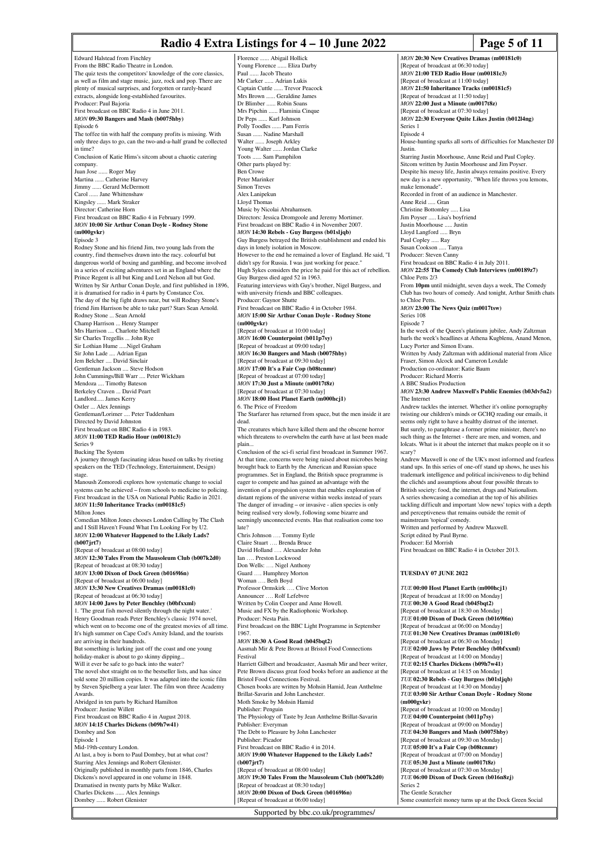### **Radio 4 Extra Listings for 4 – 10 June 2022** Page 5 of 11

*MON* **20:30 New Creatives Dramas (m00181c0)** [Repeat of broadcast at 06:30 today] *MON* **21:00 TED Radio Hour (m00181c3)** [Repeat of broadcast at 11:00 today]

Edward Halstead from Finchley From the BBC Radio Theatre in London. The quiz tests the competitors' knowledge of the core classics, as well as film and stage music, jazz, rock and pop. There are plenty of musical surprises, and forgotten or rarely-heard extracts, alongside long-established favourites. Producer: Paul Bajoria First broadcast on BBC Radio 4 in June 2011. *MON* **09:30 Bangers and Mash (b0075hby)** Episode 6 The toffee tin with half the company profits is missing. With only three days to go, can the two-and-a-half grand be colle in time? Conclusion of Katie Hims's sitcom about a chaotic catering company.<br>Juan Jose . Roger May Martina ...... Catherine Harvey Jimmy ...... Gerard McDermott Carol ...... Jane Whittenshaw Kingsley ...... Mark Straker Director: Catherine Horn First broadcast on BBC Radio 4 in February 1999. *MON* **10:00 Sir Arthur Conan Doyle - Rodney Stone (m000gvkr)** Episode 3 Rodney Stone and his friend Jim, two young lads from the country, find themselves drawn into the racy. colourful but dangerous world of boxing and gambling, and become involved in a series of exciting adventures set in an England where the Prince Regent is all but King and Lord Nelson all but God. Written by Sir Arthur Conan Doyle, and first published in 1896, it is dramatised for radio in 4 parts by Constance Cox. The day of the big fight draws near, but will Rodney Stone's friend Jim Harrison be able to take part? Stars Sean Arnold. Rodney Stone ... Sean Arnold Champ Harrison ... Henry Stamper Mrs Harrison .... Charlotte Mitchell Sir Charles Tregellis ... John Rye Sir Lothian Hume .....Nigel Graham Sir John Lade .... Adrian Egan Jem Belcher .... David Sinclair Gentleman Jackson .... Steve Hodson John Cummings/Bill Warr .... Peter Wickham Mendoza .... Timothy Bateson Berkeley Craven ... David Peart Landlord..... James Kerry Ostler ... Alex Jennings Gentleman/Lorimer .... Peter Tuddenham Directed by David Johnston First broadcast on BBC Radio 4 in 1983. *MON* **11:00 TED Radio Hour (m00181c3)** Series 9 Bucking The System A journey through fascinating ideas based on talks by riveting speakers on the TED (Technology, Entertainment, Design) stage. Manoush Zomorodi explores how systematic change to social systems can be achieved – from schools to medicine to policing. First broadcast in the USA on National Public Radio in 2021. *MON* **11:50 Inheritance Tracks (m00181c5)** Milton Jones Comedian Milton Jones chooses London Calling by The Clash and I Still Haven't Found What I'm Looking For by U2. *MON* **12:00 Whatever Happened to the Likely Lads? (b007jrt7)** [Repeat of broadcast at 08:00 today]<br>MON 12:30 Tales From the Mausoleum Club (b007k2d0) *MON* **12:30 Tales From the Mauso** [Repeat of broadcast at 08:30 today] *MON* **13:00 Dixon of Dock Green (b0169l6n)** [Repeat of broadcast at 06:00 today] *MON* **13:30 New Creatives Dramas (m00181c0)** [Repeat of broadcast at 06:30 today] *MON* **14:00 Jaws by Peter Benchley (b0bfxxml)** 1. 'The great fish moved silently through the night water.' Henry Goodman reads Peter Benchley's classic 1974 novel, which went on to become one of the greatest movies of all time. It's high summer on Cape Cod's Amity Island, and the tourists are arriving in their hundreds. But something is lurking just off the coast and one young holiday-maker is about to go skinny dipping... Will it ever be safe to go back into the water? The novel shot straight on to the bestseller lists, and has since sold some 20 million copies. It was adapted into the iconic film by Steven Spielberg a year later. The film won three Academy Awards. Abridged in ten parts by Richard Hamilton Producer: Justine Willett First broadcast on BBC Radio 4 in August 2018. *MON* **14:15 Charles Dickens (b09h7w41)** Dombey and Son Episode 1 Mid-19th-century London. At last, a boy is born to Paul Dombey, but at what cost? Starring Alex Jennings and Robert Glenister. Originally published in monthly parts from 1846, Charles Dickens's novel appeared in one volume in 1848. Dramatised in twenty parts by Mike Walker. Charles Dickens ...... Alex Jennings Dombey ...... Robert Glenister Florence ...... Abigail Hollick Ben Crowe Peter Marinker Simon Treves Alex Lanipekun Lloyd Thomas **(m000gvkr)** dead. plain... late? 1967. Festival Publisher: Penguin Publisher: Picador **(b007jrt7)**

Young Florence ...... Eliza Darby<br>Paul ...... Jacob Theato ..... Jacob Theato Mr Carker ...... Adrian Lukis Captain Cuttle ...... Trevor Peacock Mrs Brown ...... Geraldine James Dr Blimber ...... Robin Soans Mrs Pipchin ...... Flaminia Cinque Dr Peps ...... Karl Johnson Polly Toodles ...... Pam Ferris Susan ...... Nadine Marshall Walter ...... Joseph Arkley<br>Young Walter ...... Jordan .... Jordan Clarke Toots ...... Sam Pamphilon Other parts played by: Music by Nicolai Abrahamsen. Directors: Jessica Dromgoole and Jeremy Mortimer. First broadcast on BBC Radio 4 in November 2007. *MON* **14:30 Rebels - Guy Burgess (b01sljqb)** Guy Burgess betrayed the British establishment and ended his days in lonely isolation in Moscow. However to the end he remained a lover of England. He said, "I didn't spy for Russia. I was just working for peace. Hugh Sykes considers the price he paid for this act of rebellion. Guy Burgess died aged 52 in 1963. Featuring interviews with Guy's brother, Nigel Burgess, and with university friends and BBC colleagues Producer: Gaynor Shutte First broadcast on BBC Radio 4 in October 1984. *MON* **15:00 Sir Arthur Conan Doyle - Rodney Stone** [Repeat of broadcast at 10:00 today] *MON* **16:00 Counterpoint (b011p7sy)** [Repeat of broadcast at 09:00 today] *MON* **16:30 Bangers and Mash (b0075hby)** [Repeat of broadcast at 09:30 today] *MON* **17:00 It's a Fair Cop (b08tcnmr)** [Repeat of broadcast at 07:00 today] *MON* **17:30 Just a Minute (m0017t8z)** [Repeat of broadcast at 07:30 today] *MON* **18:00 Host Planet Earth (m000hcj1)** 6. The Price of Freedom The Starfarer has returned from space, but the men inside it are The creatures which have killed them and the obscene horror which threatens to overwhelm the earth have at last been made Conclusion of the sci-fi serial first broadcast in Summer 1967. At that time, concerns were being raised about microbes being brought back to Earth by the American and Russian space programmes. Set in England, the British space programme is eager to compete and has gained an advantage with the invention of a propulsion system that enables exploration of distant regions of the universe within weeks instead of years The danger of invading – or invasive - alien species is only being realised very slowly, following some bizarre and seemingly unconnected events. Has that realisation come too Chris Johnson …. Tommy Eytle Claire Stuart …. Brenda Bruce David Holland …. Alexander John Ian …. Preston Lockwood Don Wells: …. Nigel Anthony Guard …. Humphrey Morton Woman .... Beth Boyd Professor Ormskirk …. Clive Morton Announcer …. Rolf Lefebvre Written by Colin Cooper and Anne Howell. Music and FX by the Radiophonic Workshop. Producer: Nesta Pain. First broadcast on the BBC Light Programme in September *MON* **18:30 A Good Read (b045bqt2)** Aasmah Mir & Pete Brown at Bristol Food Connections Harriett Gilbert and broadcaster, Aasmah Mir and beer writer, Pete Brown discuss great food books before an audience at the Bristol Food Connections Festival. Chosen books are written by Mohsin Hamid, Jean Anthelme Brillat-Savarin and John Lanchester. Moth Smoke by Mohsin Hamid The Physiology of Taste by Jean Anthelme Brillat-Savarin Publisher: Everyman The Debt to Pleasure by John Lanchester First broadcast on BBC Radio 4 in 2014. *MON* **19:00 Whatever Happened to the Likely Lads?** [Repeat of broadcast at 08:00 today] *MON* **19:30 Tales From the Mausoleum Club (b007k2d0)** [Repeat of broadcast at 08:30 today] *MON* **20:00 Dixon of Dock Green (b0169l6n)** [Repeat of broadcast at 06:00 today]

Supported by bbc.co.uk/programmes/

*MON* **21:50 Inheritance Tracks (m00181c5)** [Repeat of broadcast at 11:50 today] *MON* **22:00 Just a Minute (m0017t8z)** [Repeat of broadcast at 07:30 today] *MON* **22:30 Everyone Quite Likes Justin (b012l4ng)** Series 1 Episode 4 House-hunting sparks all sorts of difficulties for Manchester DJ Justin. Starring Justin Moorhouse, Anne Reid and Paul Copley. Sitcom written by Justin Moorhouse and Jim Poyser. Despite his messy life, Justin always remains positive. Every new day is a new opportunity, "When life throws you lemons, make lemonade". Recorded in front of an audience in Manchester. Anne Reid ..... Gran Christine Bottomley ..... Lisa Jim Poyser ..... Lisa's boyfriend Justin Moorhouse ..... Justin Lloyd Langford ..... Bryn Paul Copley ..... Ray Susan Cookson ..... Tanya Producer: Steven Canny First broadcast on BBC Radio 4 in July 2011. *MON* **22:55 The Comedy Club Interviews (m00189z7)** Chloe Petts 2/3 From **10pm** until midnight, seven days a week, The Comedy Club has two hours of comedy. And tonight, Arthur Smith chats to Chloe Petts. *MON* **23:00 The News Quiz (m0017tsw)** Series 108 Episode 7 In the week of the Queen's platinum jubilee, Andy Zaltzman hurls the week's headlines at Athena Kugblenu, Anand Menon, Lucy Porter and Simon Evans. Written by Andy Zaltzman with additional material from Alice Fraser, Simon Alcock and Cameron Loxdale Production co-ordinator: Katie Baum Producer: Richard Morris A BBC Studios Production *MON* **23:30 Andrew Maxwell's Public Enemies (b03dv5n2)** The Internet Andrew tackles the internet. Whether it's online pornography twisting our children's minds or GCHQ reading our emails, it seems only right to have a healthy distrust of the internet. But surely, to paraphrase a former prime minister, there's no such thing as the Internet - there are men, and women, and lolcats. What is it about the internet that makes people on it so scary? Andrew Maxwell is one of the UK's most informed and fearless stand ups. In this series of one-off stand up shows, he uses his trademark intelligence and political incisiveness to dig behind the clichés and assumptions about four possible threats to British society: food, the internet, drugs and Nationalism. A series showcasing a comedian at the top of his abilities tackling difficult and important 'slow news' topics with a depth and perceptiveness that remains outside the remit of mainstream 'topical' comedy. Written and performed by Andrew Maxwell. Script edited by Paul Byrne. Producer: Ed Morrish First broadcast on BBC Radio 4 in October 2013. **TUESDAY 07 JUNE 2022** *TUE* **00:00 Host Planet Earth (m000hcj1)** [Repeat of broadcast at 18:00 on Monday] *TUE* **00:30 A Good Read (b045bqt2)** [Repeat of broadcast at 18:30 on Monday] *TUE* **01:00 Dixon of Dock Green (b0169l6n)** [Repeat of broadcast at 06:00 on Monday] *TUE* **01:30 New Creatives Dramas (m00181c0)** [Repeat of broadcast at 06:30 on Monday] *TUE* **02:00 Jaws by Peter Benchley (b0bfxxml)** [Repeat of broadcast at 14:00 on Monday] *TUE* **02:15 Charles Dickens (b09h7w41)** [Repeat of broadcast at 14:15 on Monday] *TUE* **02:30 Rebels - Guy Burgess (b01sljqb)** [Repeat of broadcast at 14:30 on Monday] *TUE* **03:00 Sir Arthur Conan Doyle - Rodney Stone**

**(m000gvkr)** [Repeat of broadcast at 10:00 on Monday] *TUE* **04:00 Counterpoint (b011p7sy)** [Repeat of broadcast at 09:00 on Monday] *TUE* **04:30 Bangers and Mash (b0075hby)** [Repeat of broadcast at 09:30 on Monday] *TUE* **05:00 It's a Fair Cop (b08tcnmr)** [Repeat of broadcast at 07:00 on Monday] *TUE* **05:30 Just a Minute (m0017t8z)** [Repeat of broadcast at 07:30 on Monday] *TUE* **06:00 Dixon of Dock Green (b016n8zj)** Series 2 The Gentle Scratcher

Some counterfeit money turns up at the Dock Green Social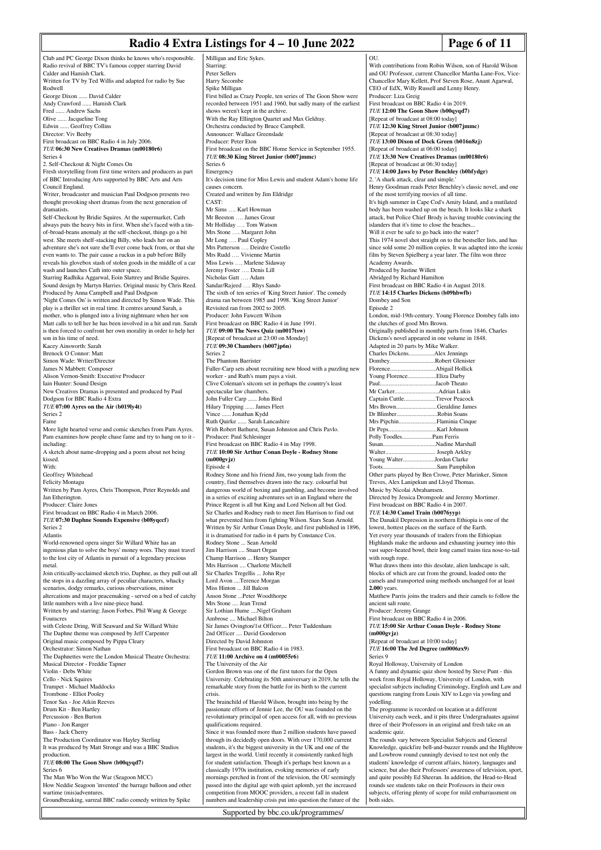### **Radio 4 Extra Listings for 4 – 10 June 2022 Page 6 of 11**

|                                                                                                                                   | o                                                                                                                                |
|-----------------------------------------------------------------------------------------------------------------------------------|----------------------------------------------------------------------------------------------------------------------------------|
| Club and PC George Dixon thinks he knows who's responsible.                                                                       | Milligan and Eric Sykes.                                                                                                         |
| Radio revival of BBC TV's famous copper starring David<br>Calder and Hamish Clark.                                                | Starring:<br>Peter Sellers                                                                                                       |
| Written for TV by Ted Willis and adapted for radio by Sue                                                                         | Harry Secombe                                                                                                                    |
| Rodwell                                                                                                                           | Spike Milligan                                                                                                                   |
| George Dixon  David Calder<br>Andy Crawford  Hamish Clark                                                                         | First billed as Crazy People, ten series of The Goon Show were<br>recorded between 1951 and 1960, but sadly many of the earliest |
| Fred  Andrew Sachs                                                                                                                | shows weren't kept in the archive.                                                                                               |
| Olive  Jacqueline Tong                                                                                                            | With the Ray Ellington Quartet and Max Geldray.                                                                                  |
| Edwin  Geoffrey Collins<br>Director: Viv Beeby                                                                                    | Orchestra conducted by Bruce Campbell.<br>Announcer: Wallace Greenslade                                                          |
| First broadcast on BBC Radio 4 in July 2006.                                                                                      | Producer: Peter Eton                                                                                                             |
| TUE 06:30 New Creatives Dramas (m00180r6)<br>Series 4                                                                             | First broadcast on the BBC Home Service in September 1955.<br>TUE 08:30 King Street Junior (b007jmmc)                            |
| 2. Self-Checkout & Night Comes On                                                                                                 | Series 6                                                                                                                         |
| Fresh storytelling from first time writers and producers as part                                                                  | Emergency<br>It's decision time for Miss Lewis and student Adam's home life                                                      |
| of BBC Introducing Arts supported by BBC Arts and Arts<br>Council England.                                                        | causes concern.                                                                                                                  |
| Writer, broadcaster and musician Paul Dodgson presents two                                                                        | Created and written by Jim Eldridge                                                                                              |
| thought provoking short dramas from the next generation of<br>dramatists.                                                         | CAST:<br>Mr Sims  Karl Howman                                                                                                    |
| Self-Checkout by Bridie Squires. At the supermarket, Cath                                                                         | Mr Beeston  James Grout                                                                                                          |
| always puts the heavy bits in first. When she's faced with a tin-<br>of-broad-beans anomaly at the self-checkout, things go a bit | Mr Holliday  Tom Watson                                                                                                          |
| west. She meets shelf-stacking Billy, who leads her on an                                                                         | Mrs Stone  Margaret John<br>Mr Long  Paul Copley                                                                                 |
| adventure she's not sure she'll ever come back from, or that she                                                                  | Mrs Patterson  Deirdre Costello                                                                                                  |
| even wants to. The pair cause a ruckus in a pub before Billy<br>reveals his glovebox stash of stolen goods in the middle of a car | Mrs Rudd  Vivienne Martin<br>Miss Lewis  Marlene Sidaway                                                                         |
| wash and launches Cath into outer space.                                                                                          | Jeremy Foster  Denis Lill                                                                                                        |
| Starring Radhika Aggarwal, Eoin Slattrey and Bridie Squires.<br>Sound design by Martyn Harries. Original music by Chris Reed.     | Nicholas Gatt  Adam<br>Sandar/Rajeed  Rhys Sando                                                                                 |
| Produced by Anna Campbell and Paul Dodgson                                                                                        | The sixth of ten series of 'King Street Junior'. The comedy                                                                      |
| 'Night Comes On' is written and directed by Simon Wade. This                                                                      | drama ran between 1985 and 1998. 'King Street Junior'                                                                            |
| play is a thriller set in real time. It centres around Sarah, a<br>mother, who is plunged into a living nightmare when her son    | Revisited ran from 2002 to 2005.<br>Producer: John Fawcett Wilson                                                                |
| Matt calls to tell her he has been involved in a hit and run. Sarah                                                               | First broadcast on BBC Radio 4 in June 1991.                                                                                     |
| is then forced to confront her own morality in order to help her<br>son in his time of need.                                      | TUE 09:00 The News Quiz (m0017tsw)<br>[Repeat of broadcast at 23:00 on Monday]                                                   |
| Kacey Ainsworth: Sarah                                                                                                            | TUE 09:30 Chambers (b007jp6n)                                                                                                    |
| Brenock O Connor: Matt                                                                                                            | Series <sub>2</sub>                                                                                                              |
| Simon Wade: Writer/Director<br>James N Mabbett: Composer                                                                          | The Phantom Barrister<br>Fuller-Carp sets about recruiting new blood with a puzzling new                                         |
| Alison Vernon-Smith: Executive Producer                                                                                           | worker - and Ruth's mum pays a visit.                                                                                            |
| Iain Hunter: Sound Design<br>New Creatives Dramas is presented and produced by Paul                                               | Clive Coleman's sitcom set in perhaps the country's least<br>spectacular law chambers.                                           |
| Dodgson for BBC Radio 4 Extra                                                                                                     | John Fuller Carp  John Bird                                                                                                      |
| TUE 07:00 Ayres on the Air (b019ly4t)<br>Series <sub>2</sub>                                                                      | Hilary Tripping  James Fleet<br>Vince  Jonathan Kydd                                                                             |
| Fame                                                                                                                              | Ruth Quirke  Sarah Lancashire                                                                                                    |
| More light hearted verse and comic sketches from Pam Ayres.                                                                       | With Robert Bathurst, Susan Johnston and Chris Pavlo.                                                                            |
| Pam examines how people chase fame and try to hang on to it -<br>including:                                                       | Producer: Paul Schlesinger<br>First broadcast on BBC Radio 4 in May 1998.                                                        |
| A sketch about name-dropping and a poem about not being                                                                           | TUE 10:00 Sir Arthur Conan Doyle - Rodney Stone                                                                                  |
| kissed.<br>With:                                                                                                                  | (m000gyjz)<br>Episode 4                                                                                                          |
| Geoffrey Whitehead                                                                                                                | Rodney Stone and his friend Jim, two young lads from the                                                                         |
| <b>Felicity Montagu</b>                                                                                                           | country, find themselves drawn into the racy. colourful but<br>dangerous world of boxing and gambling, and become involved       |
| Written by Pam Ayres, Chris Thompson, Peter Reynolds and<br>Jan Etherington.                                                      | in a series of exciting adventures set in an England where the                                                                   |
| Producer: Claire Jones                                                                                                            | Prince Regent is all but King and Lord Nelson all but God.                                                                       |
| First broadcast on BBC Radio 4 in March 2006.<br>TUE 07:30 Daphne Sounds Expensive (b08yqccf)                                     | Sir Charles and Rodney rush to meet Jim Harrison to find out<br>what prevented him from fighting Wilson. Stars Sean Arnold.      |
| Series <sub>2</sub>                                                                                                               | Written by Sir Arthur Conan Doyle, and first published in 1896,                                                                  |
| Atlantis<br>World-renowned opera singer Sir Willard White has an                                                                  | it is dramatised for radio in 4 parts by Constance Cox.<br>Rodney Stone  Sean Arnold                                             |
| ingenious plan to solve the boys' money woes. They must travel                                                                    | Jim Harrison  Stuart Organ                                                                                                       |
| to the lost city of Atlantis in pursuit of a legendary precious                                                                   | Champ Harrison  Henry Stamper                                                                                                    |
| metal.<br>Join critically-acclaimed sketch trio, Daphne, as they pull out all                                                     | Mrs Harrison  Charlotte Mitchell<br>Sir Charles Tregellis  John Rye                                                              |
| the stops in a dazzling array of peculiar characters, whacky                                                                      | Lord Avon Terence Morgan                                                                                                         |
| scenarios, dodgy remarks, curious observations, minor<br>altercations and major peacemaking - served on a bed of catchy           | Miss Hinton  Jill Balcon<br>Anson Stone  Peter Woodthorpe                                                                        |
| little numbers with a live nine-piece band.                                                                                       | Mrs Stone  Jean Trend                                                                                                            |
| Written by and starring: Jason Forbes, Phil Wang & George<br>Fouracres                                                            | Sir Lothian Hume  Nigel Graham<br>Ambrose  Michael Bilton                                                                        |
| with Celeste Dring, Will Seaward and Sir Willard White                                                                            | Sir James Ovington/1st Officer Peter Tuddenham                                                                                   |
| The Daphne theme was composed by Jeff Carpenter                                                                                   | 2nd Officer  David Gooderson                                                                                                     |
| Original music composed by Pippa Cleary<br>Orchestrator: Simon Nathan                                                             | Directed by David Johnston<br>First broadcast on BBC Radio 4 in 1983.                                                            |
| The Daphnettes were the London Musical Theatre Orchestra:                                                                         | TUE 11:00 Archive on 4 (m00055r6)                                                                                                |
| Musical Director - Freddie Tapner<br>Violin - Debs White                                                                          | The University of the Air<br>Gordon Brown was one of the first tutors for the Open                                               |
| Cello - Nick Squires                                                                                                              | University. Celebrating its 50th anniversary in 2019, he tells the                                                               |
| Trumpet - Michael Maddocks                                                                                                        | remarkable story from the battle for its birth to the current                                                                    |
| Trombone - Elliot Pooley<br>Tenor Sax - Joe Atkin Reeves                                                                          | crisis.<br>The brainchild of Harold Wilson, brought into being by the                                                            |
| Drum Kit - Ben Hartley                                                                                                            | passionate efforts of Jennie Lee, the OU was founded on the                                                                      |
| Percussion - Ben Burton<br>Piano - Jon Ranger                                                                                     | revolutionary principal of open access for all, with no previous<br>qualifications required.                                     |
| Bass - Jack Cherry                                                                                                                | Since it was founded more than 2 million students have passed                                                                    |
| The Production Coordinator was Hayley Sterling<br>It was produced by Matt Stronge and was a BBC Studios                           | through its decidedly open doors. With over 170,000 current<br>students, it's the biggest university in the UK and one of the    |
| production.                                                                                                                       | largest in the world. Until recently it consistently ranked high                                                                 |
| TUE 08:00 The Goon Show (b00qyqd7)                                                                                                | for student satisfaction. Though it's perhaps best known as a                                                                    |
| Series <sub>6</sub><br>The Man Who Won the War (Seagoon MCC)                                                                      | classically 1970s institution, evoking memories of early<br>mornings perched in front of the television, the OU seemingly        |
| How Neddie Seagoon 'invented' the barrage balloon and other                                                                       | passed into the digital age with quiet aplomb, yet the increased                                                                 |
| wartime (mis)adventures.<br>Groundbreaking, surreal BBC radio comedy written by Spike                                             | competition from MOOC providers, a recent fall in student<br>numbers and leadership crisis put into question the future of the   |
|                                                                                                                                   |                                                                                                                                  |

 $O<sub>U</sub>$ With contributions from Robin Wilson, son of Harold Wilson and OU Professor, current Chancellor Martha Lane-Fox, Vice-Chancellor Mary Kellett, Prof Steven Rose, Anant Agarwal, CEO of EdX, Willy Russell and Lenny Henry. Producer: Liza Greig First broadcast on BBC Radio 4 in 2019. *TUE* **12:00 The Goon Show (b00qyqd7)** [Repeat of broadcast at 08:00 today] *TUE* **12:30 King Street Junior (b007jmmc)** [Repeat of broadcast at 08:30 today] *TUE* **13:00 Dixon of Dock Green (b016n8zj)** [Repeat of broadcast at 06:00 today] *TUE* **13:30 New Creatives Dramas (m00180r6)** [Repeat of broadcast at 06:30 today] *TUE* **14:00 Jaws by Peter Benchley (b0bfydgr)** 2. 'A shark attack, clear and simple.' Henry Goodman reads Peter Benchley's classic novel, and one of the most terrifying movies of all time. It's high summer in Cape Cod's Amity Island, and a mutilated body has been washed up on the beach. It looks like a shark attack, but Police Chief Brody is having trouble convincing the islanders that it's time to close the beaches... Will it ever be safe to go back into the water? This 1974 novel shot straight on to the bestseller lists, and has since sold some 20 million copies. It was adapted into the iconic film by Steven Spielberg a year later. The film won three Academy Awards. Produced by Justine Willett Abridged by Richard Hamilton First broadcast on BBC Radio 4 in August 2018. *TUE* **14:15 Charles Dickens (b09hbwfb)** Dombey and Son Episode 2 London, mid-19th-century. Young Florence Dombey falls into the clutches of good Mrs Brown. Originally published in monthly parts from 1846, Charles Dickens's novel appeared in one volume in 1848. Adapted in 20 parts by Mike Walker. Charles Dickens... Dombey..............................Robert Glenister Florence..............................Abigail Hollick Young Florence........ Paul.....................................Jacob Theato Marco Trans<br>Mr Carlie<br>Trevor Peacock. Captain Cuttle......... Mrs Brown..............................Geraldine James<br>Dr Blimber............................Robin Soans Dr Blimber.....<br>Mrs Pipchin... Mrs Pipchin.........................Flaminia Cinque Dr Peps................................Karl Johnson Polly Toodles...... Susan...................................Nadine Marshall Walter................................. Joseph Arkley Young Walter.....................Jordan Clarke ..Sam Pamphilon Other parts played by Ben Crowe, Peter Marinker, Simon Treves, Alex Lanipekun and Lloyd Thomas. Music by Nicolai Abrahamsen. Directed by Jessica Dromgoole and Jeremy Mortimer. First broadcast on BBC Radio 4 in 2007. *TUE* **14:30 Camel Train (b0076yyp)** The Danakil Depression in northern Ethiopia is one of the lowest, hottest places on the surface of the Earth. Yet every year thousands of traders from the Ethiopian Highlands make the arduous and exhausting journey into this vast super-heated bowl, their long camel trains tiea nose-to-tail with rough rope. What draws them into this desolate, alien landscape is salt, blocks of which are cut from the ground, loaded onto the camels and transported using methods unchanged for at least **2.00**0 years. Matthew Parris joins the traders and their camels to follow the ancient salt route. Producer: Jeremy Grange First broadcast on BBC Radio 4 in 2006. *TUE* **15:00 Sir Arthur Conan Doyle - Rodney Stone (m000gvjz)** [Repeat of broadcast at 10:00 today] *TUE* **16:00 The 3rd Degree (m0006zx9)** Series 9 Royal Holloway, University of London A funny and dynamic quiz show hosted by Steve Punt - this week from Royal Holloway, University of London, with specialist subjects including Criminology, English and Law and questions ranging from Louis XIV to Lego via yowling and yodelling. The programme is recorded on location at a different University each week, and it pits three Undergraduates against three of their Professors in an original and fresh take on an academic quiz. The rounds vary between Specialist Subjects and General Knowledge, quickfire bell-and-buzzer rounds and the Highbro and Lowbrow round cunningly devised to test not only the students' knowledge of current affairs, history, languages and science, but also their Professors' awareness of television, sport, and quite possibly Ed Sheeran. In addition, the Head-to-Head rounds see students take on their Professors in their own subjects, offering plenty of scope for mild embarrassment on

Supported by bbc.co.uk/programmes/

both sides.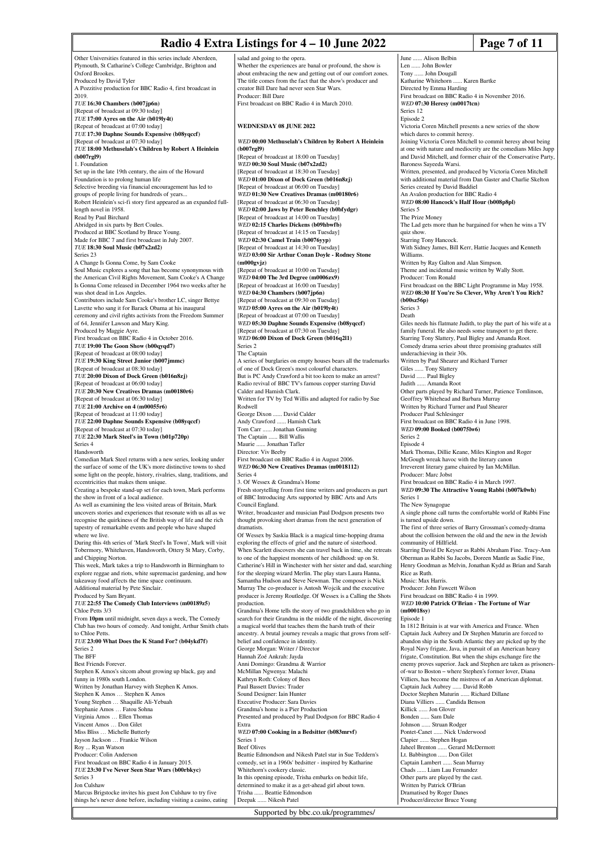| Radio 4 Extra Listings for 4 – 10 June 2022                                                                                            | Page 7 of 11                                                                                                                      |                                                                                                                                |  |  |  |  |
|----------------------------------------------------------------------------------------------------------------------------------------|-----------------------------------------------------------------------------------------------------------------------------------|--------------------------------------------------------------------------------------------------------------------------------|--|--|--|--|
| Other Universities featured in this series include Aberdeen,<br>Plymouth, St Catharine's College Cambridge, Brighton and               | salad and going to the opera.<br>Whether the experiences are banal or profound, the show is                                       | June  Alison Belbin<br>Len  John Bowler                                                                                        |  |  |  |  |
| Oxford Brookes.                                                                                                                        | about embracing the new and getting out of our comfort zones.                                                                     | Tony  John Dougall                                                                                                             |  |  |  |  |
| Produced by David Tyler                                                                                                                | The title comes from the fact that the show's producer and                                                                        | Katharine Whitehorn  Karen Bartke                                                                                              |  |  |  |  |
| A Pozzitive production for BBC Radio 4, first broadcast in<br>2019.                                                                    | creator Bill Dare had never seen Star Wars.<br>Producer: Bill Dare                                                                | Directed by Emma Harding<br>First broadcast on BBC Radio 4 in November 2016.                                                   |  |  |  |  |
| TUE 16:30 Chambers (b007jp6n)                                                                                                          | First broadcast on BBC Radio 4 in March 2010.                                                                                     | WED 07:30 Heresy (m0017tcn)                                                                                                    |  |  |  |  |
| [Repeat of broadcast at 09:30 today]<br>TUE 17:00 Ayres on the Air (b019ly4t)                                                          |                                                                                                                                   | Series 12<br>Episode 2                                                                                                         |  |  |  |  |
| [Repeat of broadcast at 07:00 today]                                                                                                   | <b>WEDNESDAY 08 JUNE 2022</b>                                                                                                     | Victoria Coren Mitchell presents a new series of the show                                                                      |  |  |  |  |
| TUE 17:30 Daphne Sounds Expensive (b08yqccf)                                                                                           |                                                                                                                                   | which dares to commit heresy.                                                                                                  |  |  |  |  |
| [Repeat of broadcast at 07:30 today]<br>TUE 18:00 Methuselah's Children by Robert A Heinlein                                           | WED 00:00 Methuselah's Children by Robert A Heinlein<br>$(b007 \text{rel}9)$                                                      | Joining Victoria Coren Mitchell to commit heresy about being<br>at one with nature and mediocrity are the comedians Miles Jupp |  |  |  |  |
| $(b007$ rgl $9)$                                                                                                                       | [Repeat of broadcast at 18:00 on Tuesday]                                                                                         | and David Mitchell, and former chair of the Conservative Party.                                                                |  |  |  |  |
| 1. Foundation<br>Set up in the late 19th century, the aim of the Howard                                                                | WED 00:30 Soul Music (b07x2zd2)<br>[Repeat of broadcast at 18:30 on Tuesday]                                                      | Baroness Sayeeda Warsi.<br>Written, presented, and produced by Victoria Coren Mitchell                                         |  |  |  |  |
| Foundation is to prolong human life                                                                                                    | WED 01:00 Dixon of Dock Green (b016n8zj)                                                                                          | with additional material from Dan Gaster and Charlie Skelton                                                                   |  |  |  |  |
| Selective breeding via financial encouragement has led to<br>groups of people living for hundreds of years                             | [Repeat of broadcast at 06:00 on Tuesday]<br>WED 01:30 New Creatives Dramas (m00180r6)                                            | Series created by David Baddiel<br>An Avalon production for BBC Radio 4                                                        |  |  |  |  |
| Robert Heinlein's sci-fi story first appeared as an expanded full-                                                                     | [Repeat of broadcast at 06:30 on Tuesday]                                                                                         | WED 08:00 Hancock's Half Hour (b008p8pl)                                                                                       |  |  |  |  |
| length novel in 1958.<br>Read by Paul Birchard                                                                                         | WED 02:00 Jaws by Peter Benchley (b0bfydgr)<br>[Repeat of broadcast at 14:00 on Tuesday]                                          | Series 5<br>The Prize Money                                                                                                    |  |  |  |  |
| Abridged in six parts by Bert Coules.                                                                                                  | WED 02:15 Charles Dickens (b09hbwfb)                                                                                              | The Lad gets more than he bargained for when he wins a TV                                                                      |  |  |  |  |
| Produced at BBC Scotland by Bruce Young.                                                                                               | [Repeat of broadcast at 14:15 on Tuesday]                                                                                         | quiz show.                                                                                                                     |  |  |  |  |
| Made for BBC 7 and first broadcast in July 2007.<br>TUE 18:30 Soul Music (b07x2zd2)                                                    | WED 02:30 Camel Train (b0076yyp)<br>[Repeat of broadcast at 14:30 on Tuesday]                                                     | Starring Tony Hancock.<br>With Sidney James, Bill Kerr, Hattie Jacques and Kenneth                                             |  |  |  |  |
| Series 23                                                                                                                              | WED 03:00 Sir Arthur Conan Doyle - Rodney Stone                                                                                   | Williams.                                                                                                                      |  |  |  |  |
| A Change Is Gonna Come, by Sam Cooke<br>Soul Music explores a song that has become synonymous with                                     | (m000gyjz)<br>[Repeat of broadcast at 10:00 on Tuesday]                                                                           | Written by Ray Galton and Alan Simpson.<br>Theme and incidental music written by Wally Stott.                                  |  |  |  |  |
| the American Civil Rights Movement, Sam Cooke's A Change                                                                               | WED 04:00 The 3rd Degree (m0006zx9)                                                                                               | Producer: Tom Ronald                                                                                                           |  |  |  |  |
| Is Gonna Come released in December 1964 two weeks after he<br>was shot dead in Los Angeles.                                            | [Repeat of broadcast at 16:00 on Tuesday]<br>WED 04:30 Chambers (b007jp6n)                                                        | First broadcast on the BBC Light Programme in May 1958.<br>WED 08:30 If You're So Clever, Why Aren't You Rich?                 |  |  |  |  |
| Contributors include Sam Cooke's brother LC, singer Bettye                                                                             | [Repeat of broadcast at 09:30 on Tuesday]                                                                                         | (b00sz56p)                                                                                                                     |  |  |  |  |
| Lavette who sang it for Barack Obama at his inaugural                                                                                  | WED 05:00 Ayres on the Air (b019ly4t)                                                                                             | Series 3                                                                                                                       |  |  |  |  |
| ceremony and civil rights activists from the Freedom Summer<br>of 64, Jennifer Lawson and Mary King.                                   | [Repeat of broadcast at 07:00 on Tuesday]<br>WED 05:30 Daphne Sounds Expensive (b08yqccf)                                         | Death<br>Giles needs his flatmate Judith, to play the part of his wife at a                                                    |  |  |  |  |
| Produced by Maggie Ayre.                                                                                                               | [Repeat of broadcast at 07:30 on Tuesday]                                                                                         | family funeral. He also needs some transport to get there.                                                                     |  |  |  |  |
| First broadcast on BBC Radio 4 in October 2016.<br>TUE 19:00 The Goon Show (b00qyqd7)                                                  | WED 06:00 Dixon of Dock Green (b016q2l1)<br>Series <sub>2</sub>                                                                   | Starring Tony Slattery, Paul Bigley and Amanda Root.<br>Comedy drama series about three promising graduates still              |  |  |  |  |
| [Repeat of broadcast at 08:00 today]                                                                                                   | The Captain                                                                                                                       | underachieving in their 30s.                                                                                                   |  |  |  |  |
| TUE 19:30 King Street Junior (b007jmmc)                                                                                                | A series of burglaries on empty houses bears all the trademarks                                                                   | Written by Paul Shearer and Richard Turner                                                                                     |  |  |  |  |
| [Repeat of broadcast at 08:30 today]<br>TUE 20:00 Dixon of Dock Green (b016n8zj)                                                       | of one of Dock Green's most colourful characters.<br>But is PC Andy Crawford a bit too keen to make an arrest?                    | Giles  Tony Slattery<br>David  Paul Bigley                                                                                     |  |  |  |  |
| [Repeat of broadcast at 06:00 today]                                                                                                   | Radio revival of BBC TV's famous copper starring David                                                                            | Judith  Amanda Root                                                                                                            |  |  |  |  |
| TUE 20:30 New Creatives Dramas (m00180r6)<br>[Repeat of broadcast at 06:30 today]                                                      | Calder and Hamish Clark.<br>Written for TV by Ted Willis and adapted for radio by Sue                                             | Other parts played by Richard Turner, Patience Tomlinson,<br>Geoffrey Whitehead and Barbara Murray                             |  |  |  |  |
| TUE 21:00 Archive on 4 (m00055r6)                                                                                                      | Rodwell                                                                                                                           | Written by Richard Turner and Paul Shearer                                                                                     |  |  |  |  |
| [Repeat of broadcast at 11:00 today]<br>TUE 22:00 Daphne Sounds Expensive (b08yqccf)                                                   | George Dixon  David Calder<br>Andy Crawford  Hamish Clark                                                                         | Producer Paul Schlesinger<br>First broadcast on BBC Radio 4 in June 1998.                                                      |  |  |  |  |
| [Repeat of broadcast at 07:30 today]                                                                                                   | Tom Carr  Jonathan Gunning                                                                                                        | WED 09:00 Booked (b0075lw6)                                                                                                    |  |  |  |  |
| TUE 22:30 Mark Steel's in Town (b01p720p)<br>Series 4                                                                                  | The Captain  Bill Wallis<br>Maurie  Jonathan Tafler                                                                               | Series <sub>2</sub>                                                                                                            |  |  |  |  |
| Handsworth                                                                                                                             | Director: Viv Beeby                                                                                                               | Episode 4<br>Mark Thomas, Dillie Keane, Miles Kington and Roger                                                                |  |  |  |  |
| Comedian Mark Steel returns with a new series, looking under                                                                           | First broadcast on BBC Radio 4 in August 2006.                                                                                    | McGough wreak havoc with the literary canon                                                                                    |  |  |  |  |
| the surface of some of the UK's more distinctive towns to shed<br>some light on the people, history, rivalries, slang, traditions, and | WED 06:30 New Creatives Dramas (m0018112)<br>Series 4                                                                             | Irreverent literary game chaired by Ian McMillan.<br>Producer: Marc Jobst                                                      |  |  |  |  |
| eccentricities that makes them unique.                                                                                                 | 3. Of Wessex & Grandma's Home                                                                                                     | First broadcast on BBC Radio 4 in March 1997.                                                                                  |  |  |  |  |
| Creating a bespoke stand-up set for each town, Mark performs<br>the show in front of a local audience.                                 | Fresh storytelling from first time writers and producers as part<br>of BBC Introducing Arts supported by BBC Arts and Arts        | WED 09:30 The Attractive Young Rabbi (b007k0wh)<br>Series 1                                                                    |  |  |  |  |
| As well as examining the less visited areas of Britain, Mark                                                                           | Council England.                                                                                                                  | The New Synagogue                                                                                                              |  |  |  |  |
| uncovers stories and experiences that resonate with us all as we                                                                       | Writer, broadcaster and musician Paul Dodgson presents two<br>thought provoking short dramas from the next generation of          | A single phone call turns the comfortable world of Rabbi Fine<br>is turned upside down.                                        |  |  |  |  |
| recognise the quirkiness of the British way of life and the rich<br>tapestry of remarkable events and people who have shaped           | dramatists.                                                                                                                       | The first of three series of Barry Grossman's comedy-drama                                                                     |  |  |  |  |
| where we live.                                                                                                                         | Of Wessex by Saskia Black is a magical time-hopping drama                                                                         | about the collision between the old and the new in the Jewish                                                                  |  |  |  |  |
| During this 4th series of 'Mark Steel's In Town', Mark will visit<br>Tobermory, Whitehaven, Handsworth, Ottery St Mary, Corby,         | exploring the effects of grief and the nature of sisterhood.<br>When Scarlett discovers she can travel back in time, she retreats | community of Hillfield.<br>Starring David De Keyser as Rabbi Abraham Fine. Tracy-Ann                                           |  |  |  |  |
| and Chipping Norton.                                                                                                                   | to one of the happiest moments of her childhood: up on St.                                                                        | Oberman as Rabbi Su Jacobs, Doreen Mantle as Sadie Fine,                                                                       |  |  |  |  |
| This week, Mark takes a trip to Handsworth in Birmingham to<br>explore reggae and riots, white supremacist gardening, and how          | Catherine's Hill in Winchester with her sister and dad, searching<br>for the sleeping wizard Merlin. The play stars Laura Hanna,  | Henry Goodman as Melvin, Jonathan Kydd as Brian and Sarah<br>Rice as Ruth.                                                     |  |  |  |  |
| takeaway food affects the time space continuum.                                                                                        | Samantha Hudson and Steve Newman. The composer is Nick                                                                            | Music: Max Harris.                                                                                                             |  |  |  |  |
| Additional material by Pete Sinclair.<br>Produced by Sam Bryant.                                                                       | Murray The co-producer is Antosh Wojcik and the executive<br>producer is Jeremy Routledge. Of Wessex is a Calling the Shots       | Producer: John Fawcett Wilson<br>First broadcast on BBC Radio 4 in 1999.                                                       |  |  |  |  |
| TUE 22:55 The Comedy Club Interviews (m00189z5)                                                                                        | production.                                                                                                                       | WED 10:00 Patrick O'Brian - The Fortune of War                                                                                 |  |  |  |  |
| Chloe Petts 3/3                                                                                                                        | Grandma's Home tells the story of two grandchildren who go in                                                                     | (m00018sy)                                                                                                                     |  |  |  |  |
| From 10pm until midnight, seven days a week, The Comedy<br>Club has two hours of comedy. And tonight, Arthur Smith chats               | search for their Grandma in the middle of the night, discovering<br>a magical world that teaches them the harsh truth of their    | Episode 1<br>In 1812 Britain is at war with America and France. When                                                           |  |  |  |  |
| to Chloe Petts.                                                                                                                        | ancestry. A brutal journey reveals a magic that grows from self-                                                                  | Captain Jack Aubrey and Dr Stephen Maturin are forced to                                                                       |  |  |  |  |
| TUE 23:00 What Does the K Stand For? (b04ykd7f)<br>Series <sub>2</sub>                                                                 | belief and confidence in identity.<br>George Morgan: Writer / Director                                                            | abandon ship in the South Atlantic they are picked up by the<br>Royal Navy frigate, Java, in pursuit of an American heavy      |  |  |  |  |
| The BFF                                                                                                                                | Hannah Zoé Ankrah: Jayda                                                                                                          | frigate, Constitution. But when the ships exchange fire the                                                                    |  |  |  |  |
| Best Friends Forever.                                                                                                                  | Anni Domingo: Grandma & Warrior                                                                                                   | enemy proves superior. Jack and Stephen are taken as prisoners-                                                                |  |  |  |  |
| Stephen K Amos's sitcom about growing up black, gay and<br>funny in 1980s south London.                                                | McMillan Ngwenya: Malachi<br>Kathryn Roth: Colony of Bees                                                                         | of-war to Boston - where Stephen's former lover, Diana<br>Villiers, has become the mistress of an American diplomat.           |  |  |  |  |
| Written by Jonathan Harvey with Stephen K Amos.                                                                                        | Paul Bassett Davies: Trader                                                                                                       | Captain Jack Aubrey  David Robb                                                                                                |  |  |  |  |
| Stephen K Amos  Stephen K Amos<br>Young Stephen  Shaquille Ali-Yebuah                                                                  | Sound Designer: Iain Hunter<br>Executive Producer: Sara Davies                                                                    | Doctor Stephen Maturin  Richard Dillane<br>Diana Villiers  Candida Benson                                                      |  |  |  |  |
| Stephanie Amos  Fatou Sohna                                                                                                            | Grandma's home is a Pier Production                                                                                               | Killick  Jon Glover                                                                                                            |  |  |  |  |
| Virginia Amos  Ellen Thomas<br>Vincent Amos  Don Gilet                                                                                 | Presented and produced by Paul Dodgson for BBC Radio 4<br>Extra                                                                   | Bonden  Sam Dale                                                                                                               |  |  |  |  |
| Miss Bliss  Michelle Butterly                                                                                                          | WED 07:00 Cooking in a Bedsitter (b083mrvf)                                                                                       | Johnson  Struan Rodger<br>Pontet-Canet  Nick Underwood                                                                         |  |  |  |  |
| Jayson Jackson  Frankie Wilson                                                                                                         | Series 1                                                                                                                          | Clapier  Stephen Hogan                                                                                                         |  |  |  |  |
| Roy  Ryan Watson<br>Producer: Colin Anderson                                                                                           | <b>Beef Olives</b><br>Beattie Edmondson and Nikesh Patel star in Sue Teddern's                                                    | Jaheel Brenton  Gerard McDermott<br>Lt. Babbington  Don Gilet                                                                  |  |  |  |  |
| First broadcast on BBC Radio 4 in January 2015.                                                                                        | comedy, set in a 1960s' bedsitter - inspired by Katharine                                                                         | Captain Lambert  Sean Murray                                                                                                   |  |  |  |  |
| TUE 23:30 I've Never Seen Star Wars (b00rbkyc)<br>Series 3                                                                             | Whitehorn's cookery classic.<br>In this opening episode, Trisha embarks on bedsit life,                                           | Chads  Liam Lau Fernandez<br>Other parts are played by the cast.                                                               |  |  |  |  |
| Jon Culshaw                                                                                                                            | determined to make it as a get-ahead girl about town.                                                                             | Written by Patrick O'Brian                                                                                                     |  |  |  |  |
| Marcus Brigstocke invites his guest Jon Culshaw to try five<br>things he's never done before, including visiting a casino, eating      | Trisha  Beattie Edmondson<br>Deepak  Nikesh Patel                                                                                 | Dramatised by Roger Danes<br>Producer/director Bruce Young                                                                     |  |  |  |  |
|                                                                                                                                        |                                                                                                                                   |                                                                                                                                |  |  |  |  |
| Supported by bbc.co.uk/programmes/                                                                                                     |                                                                                                                                   |                                                                                                                                |  |  |  |  |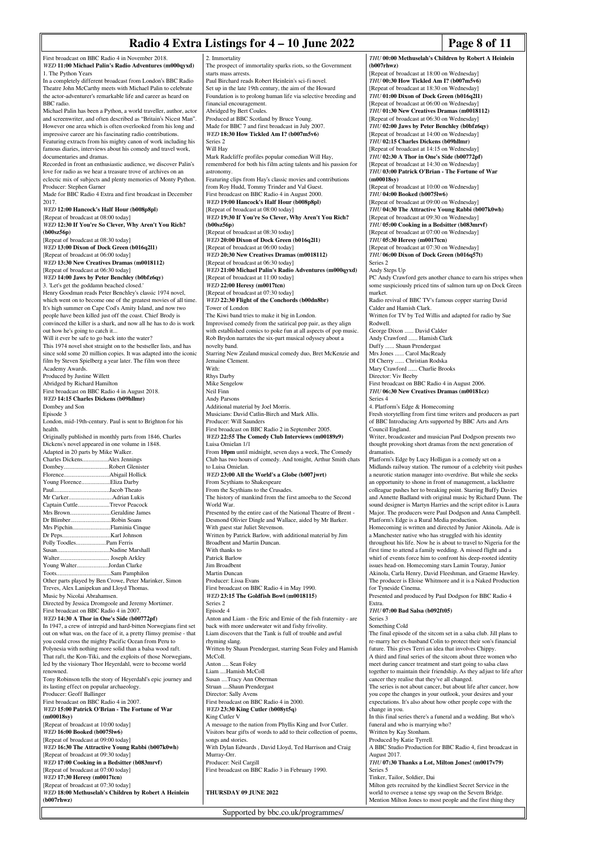### **Radio 4 Extra Listings for 4 – 10 June 2022** Page 8 of 11

First broadcast on BBC Radio 4 in November 2018. *WED* **11:00 Michael Palin's Radio Adventures (m000qyxd)** 1. The Python Years In a completely different broadcast from London's BBC Radio Theatre John McCarthy meets with Michael Palin to celebrate the actor-adventurer's remarkable life and career as heard on BBC radio. Michael Palin has been a Python, a world traveller, author, actor and screenwriter, and often described as "Britain's Nicest Man". However one area which is often overlooked from his long and impressive career are his fascinating radio contributions. Featuring extracts from his mighty canon of work including his famous diaries, interviews about his comedy and travel work, documentaries and dramas. Recorded in front an enthusiastic audience, we discover Palin's love for radio as we hear a treasure trove of archives on an eclectic mix of subjects and plenty memories of Monty Python. Producer: Stephen Garner Made for BBC Radio 4 Extra and first broadcast in December 2017. *WED* 12:00 Hancock's Half Hour (b00 [Repeat of broadcast at 08:00 today] *WED* **12:30 If You're So Clever, Why Aren't You Rich? (b00sz56p)** [Repeat of broadcast at 08:30 today] *WED* **13:00 Dixon of Dock Green (b016q2l1)** [Repeat of broadcast at 06:00 today] *WED* **13:30 New Creatives Dramas (m0018112)** [Repeat of broadcast at 06:30 today] *WED* **14:00 Jaws by Peter Benchley (b0bfz6qy)** 3. 'Let's get the goddamn beached closed.' Henry Goodman reads Peter Benchley's classic 1974 novel. which went on to become one of the greatest movies of all time. It's high summer on Cape Cod's Amity Island, and now two people have been killed just off the coast. Chief Brody is convinced the killer is a shark, and now all he has to do is work out how he's going to catch it... Will it ever be safe to go back into the water? This 1974 novel shot straight on to the bestseller lists, and has since sold some 20 million copies. It was adapted into the iconic film by Steven Spielberg a year later. The film won three Academy Awards. Produced by Justine Willett Abridged by Richard Hamilton First broadcast on BBC Radio 4 in August 2018. *WED* **14:15 Charles Dickens (b09hllmr)** Dombey and Son Episode 3 London, mid-19th-century. Paul is sent to Brighton for his health. Originally published in monthly parts from 1846, Charles Dickens's novel appeared in one volume in 1848. Adapted in 20 parts by Mike Walker.<br>Charles Dickens.................Alex Jennings Charles Dickens...<br>Dombey................ .<br>Robert Glen Florence..............................Abigail Hollick Young Florence...................Eliza Darby Paul.....................................Jacob Theato Mr Carker.............................Adrian Lukis Captain Cuttle.....................Trevor Peacock Mrs Brown...........................Geraldine James Dr Blimber.............................Robin Soan<br>Mrs Piochin............................Flaminia Ci Mrs Pipchin.........................Flaminia Cinque Dr Peps................................Karl Johnson Polly Toodles....................Pam Ferris Susan...................................Nadine Marshall Joseph Arkley Young Walter.....................Jordan Clarke Toots....................................Sam Pamphilon Other parts played by Ben Crowe, Peter Marinker, Simon Treves, Alex Lanipekun and Lloyd Thomas. Music by Nicolai Abrahamsen. Directed by Jessica Dromgoole and Jeremy Mortimer. First broadcast on BBC Radio 4 in 2007. *WED* **14:30 A Thor in One's Side (b00772pf)** In 1947, a crew of intrepid and hard-bitten Norwegians first set out on what was, on the face of it, a pretty flimsy premise - that you could cross the mighty Pacific Ocean from Peru to Polynesia with nothing more solid than a balsa wood raft. That raft, the Kon-Tiki, and the exploits of those Norwegians, led by the visionary Thor Heyerdahl, were to become world renowned. Tony Robinson tells the story of Heyerdahl's epic journey and its lasting effect on popular archaeology. Producer: Geoff Ballinger First broadcast on BBC Radio 4 in 2007. *WED* **15:00 Patrick O'Brian - The Fortune of War (m00018sy)** [Repeat of broadcast at 10:00 today] *WED* **16:00 Booked (b0075lw6)** [Repeat of broadcast at 09:00 today] *WED* **16:30 The Attractive Young Rabbi (b007k0wh)** [Repeat of broadcast at 09:30 today] *WED* **17:00 Cooking in a Bedsitter (b083mrvf)** [Repeat of broadcast at 07:00 today] *WED* **17:30 Heresy (m0017tcn)** [Repeat of broadcast at 07:30 today] *WED* **18:00 Methuselah's Children by Robert A Heinlein (b007rhwz)** 2. Immortality The prospect of immortality sparks riots, so the Government starts mass arrests. Paul Birchard reads Robert Heinlein's sci-fi novel. Set up in the late 19th century, the aim of the Howard Foundation is to prolong human life via selective breeding and financial encouragement. Abridged by Bert Coules. Produced at BBC Scotland by Bruce Young. Made for BBC 7 and first broadcast in July 2007. *WED* **18:30 How Tickled Am I? (b007m5v6)** Series 2 Will Hay Mark Radcliffe profiles popular comedian Will Hay, remembered for both his film acting talents and his passion for astronomy. Featuring clips from Hay's classic movies and contributions from Roy Hudd, Tommy Trinder and Val Guest. First broadcast on BBC Radio 4 in August 2000. *WED* **19:00 Hancock's Half Hour (b008p8pl)** [Repeat of broadcast at 08:00 today] *WED* **19:30 If You're So Clever, Why Aren't You Rich? (b00sz56p)** [Repeat of broadcast at 08:30 today] *WED* **20:00 Dixon of Dock Green (b016q2l1)** [Repeat of broadcast at 06:00 today] *WED* **20:30 New Creatives Dramas (m0018112)** [Repeat of broadcast at 06:30 today] *WED* **21:00 Michael Palin's Radio Adventures (m000qyxd)** [Repeat of broadcast at 11:00 today] *WED* **22:00 Heresy (m0017tcn)** [Repeat of broadcast at 07:30 today] *WED* **22:30 Flight of the Conchords (b00dn8br)** Tower of London The Kiwi band tries to make it big in London. Improvised comedy from the satirical pop pair, as they align with established comics to poke fun at all aspects of pop n Rob Brydon narrates the six-part musical odyssey about a novelty band. Starring New Zealand musical comedy duo, Bret McKenzie and Jemaine Clement. With: Rhys Darby Mike Sengelow Neil Finn Andy Parsons Additional material by Joel Morris. Musicians: David Catlin-Birch and Mark Allis. Producer: Will Saunders First broadcast on BBC Radio 2 in September 2005. *WED* **22:55 The Comedy Club Interviews (m00189z9)** Luisa Omielan 1/1 From **10pm** until midnight, seven days a week, The Comedy Club has two hours of comedy. And tonight, Arthur Smith chats to Luisa Omielan. *WED* **23:00 All the World's a Globe (b007jwrt)** From Scythians to Shakespeare From the Scythians to the Crusades. The history of mankind from the first amoeba to the Second World War. Presented by the entire cast of the National Theatre of Brent - Desmond Olivier Dingle and Wallace, aided by Mr Barker. With guest star Juliet Stevenson. Written by Patrick Barlow, with additional material by Jim Broadbent and Martin Duncan. With thanks to Patrick Barlow Jim Broadbent Martin Duncan Producer: Lissa Evans First broadcast on BBC Radio 4 in May 1990. *WED* **23:15 The Goldfish Bowl (m0018115)** Series 2 Episode 4 Anton and Liam - the Eric and Ernie of the fish fraternity - are back with more underwater wit and fishy frivolity. Liam discovers that the Tank is full of trouble and awful rhyming slang. Written by Shaun Prendergast, starring Sean Foley and Hamish McColl. Anton .... Sean Foley Liam ....Hamish McColl Susan ....Tracy Ann Oberman Struan ....Shaun Prendergast Director: Sally Avens First broadcast on BBC Radio 4 in 2000. *WED* **23:30 King Cutler (b008yt5q)** King Cutler V A message to the nation from Phyllis King and Ivor Cutler. Visitors bear gifts of words to add to their collection of poems, songs and stories. With Dylan Edwards , David Lloyd, Ted Harrison and Craig Murray-Orr. Producer: Neil Cargill First broadcast on BBC Radio 3 in February 1990. **THURSDAY 09 JUNE 2022** *THU* **00:00 Methuselah's Children by Robert A Heinlein (b007rhwz)** [Repeat of broadcast at 18:00 on Wednesday] *THU* **00:30 How Tickled Am I? (b007m5v6)** [Repeat of broadcast at 18:30 on Wednesday] *THU* **01:00 Dixon of Dock Green (b016q2l1)** [Repeat of broadcast at 06:00 on Wednesday] *THU* **01:30 New Creatives Dramas (m0018112)** [Repeat of broadcast at 06:30 on Wednesday] *THU* **02:00 Jaws by Peter Benchley (b0bfz6qy)** [Repeat of broadcast at 14:00 on Wednesday] *THU* **02:15 Charles Dickens (b09hllmr)** [Repeat of broadcast at 14:15 on Wednesday] *THU* **02:30 A Thor in One's Side (b00772pf)** [Repeat of broadcast at 14:30 on Wednesday] *THU* **03:00 Patrick O'Brian - The Fortune of War (m00018sy)** [Repeat of broadcast at 10:00 on Wednesday] *THU* **04:00 Booked (b0075lw6)** [Repeat of broadcast at 09:00 on Wednesday] *THU* **04:30 The Attractive Young Rabbi (b007k0wh)** [Repeat of broadcast at 09:30 on Wednesday] *THU* **05:00 Cooking in a Bedsitter (b083mrvf)** [Repeat of broadcast at 07:00 on Wednesday] *THU* **05:30 Heresy (m0017tcn)** [Repeat of broadcast at 07:30 on Wednesday] *THU* **06:00 Dixon of Dock Green (b016q57t)** Series 2 Andy Steps Up PC Andy Crawford gets another chance to earn his stripes when some suspiciously priced tins of salmon turn up on Dock Green market. Radio revival of BBC TV's famous copper starring David Calder and Hamish Clark. Written for TV by Ted Willis and adapted for radio by Sue Rodwell. George Dixon ...... David Calder Andy Crawford ...... Hamish Clark Duffy ...... Shaun Prendergast Mrs Jones ...... Carol MacReady DI Cherry ...... Christian Rodska Mary Crawford ...... Charlie Brooks Director: Viv Beeby First broadcast on BBC Radio 4 in August 2006. *THU* **06:30 New Creatives Dramas (m00181cz)** Series 4 4. Platform's Edge & Homecoming Fresh storytelling from first time writers and producers as part of BBC Introducing Arts supported by BBC Arts and Arts Council England. Writer, broadcaster and musician Paul Dodgson presents two thought provoking short dramas from the next generation of dramatists. Platform's Edge by Lucy Holligan is a comedy set on a Midlands railway station. The rumour of a celebrity visit pushes a neurotic station manager into overdrive. But while she seeks an opportunity to shone in front of management, a lacklustre colleague pushes her to breaking point. Starring Buffy Davies and Annette Badland with original music by Richard Dunn. The sound designer is Martyn Harries and the script editor is Laura Major. The producers were Paul Dodgson and Anna Campbell. Platform's Edge is a Rural Media production. Homecoming is written and directed by Junior Akinola. Ade is a Manchester native who has struggled with his identity throughout his life. Now he is about to travel to Nigeria for the first time to attend a family wedding. A missed flight and a whirl of events force him to confront his deep-rooted identity issues head-on. Homecoming stars Lamin Touray, Junior Akinola, Carla Henry, David Fleeshman, and Graeme Hawley. The producer is Eloise Whitmore and it is a Naked Production for Tyneside Cinema. Presented and produced by Paul Dodgson for BBC Radio 4 Extra. *THU* **07:00 Bad Salsa (b092ft05)** Series 3 Something Cold The final episode of the sitcom set in a salsa club. Jill plans to re-marry her ex-husband Colin to protect their son's financial future. This gives Terri an idea that involves Chippy. A third and final series of the sitcom about three women who meet during cancer treatment and start going to salsa class together to maintain their friendship. As they adjust to life after cancer they realise that they've all changed. The series is not about cancer, but about life after cancer, how you cope the changes in your outlook, your desires and your expectations. It's also about how other people cope with the change in you. In this final series there's a funeral and a wedding. But who's funeral and who is marrying who? Written by Kay Stonham Produced by Katie Tyrrell. A BBC Studio Production for BBC Radio 4, first broadcast in August 2017. *THU* **07:30 Thanks a Lot, Milton Jones! (m0017v79)** Series 5 Tinker, Tailor, Soldier, Dai Milton gets recruited by the kindliest Secret Service in the world to oversee a tense spy swap on the Severn Bridge. Mention Milton Jones to most people and the first thing they

Supported by bbc.co.uk/programmes/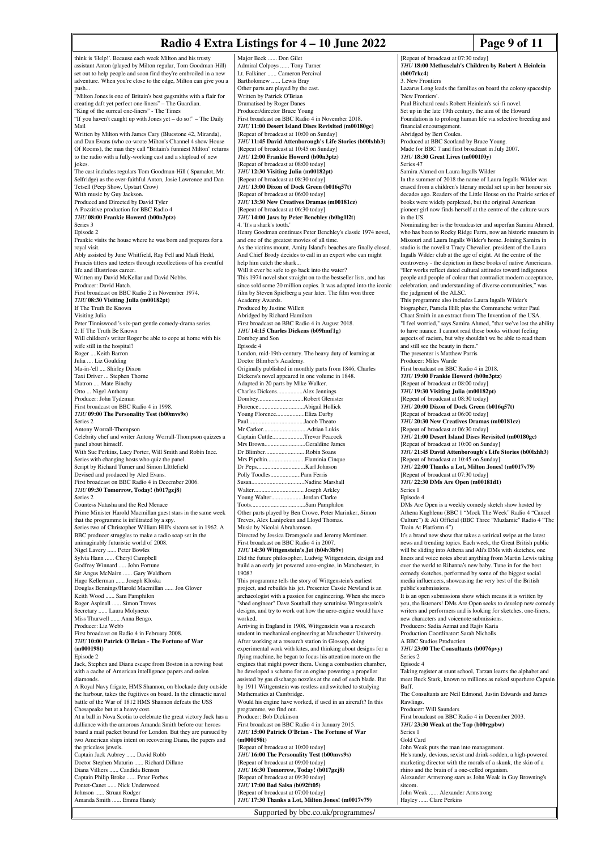### **Radio 4 Extra Listings for 4 – 10 June 2022** Page 9 of 11

[Repeat of broadcast at 07:30 today]

**(b007rkc4)** 3. New Frontiers

*THU* **18:00 Methuselah's Children by Robert A Heinlein**

| think is 'Help!'. Because each week Milton and his trusty                                             | Major Beck  Don Gilet                                                                                                       |
|-------------------------------------------------------------------------------------------------------|-----------------------------------------------------------------------------------------------------------------------------|
| assistant Anton (played by Milton regular, Tom Goodman-Hill)                                          | Admiral Colpoys  Tony Turner                                                                                                |
| set out to help people and soon find they're embroiled in a new                                       | Lt. Falkiner  Cameron Percival                                                                                              |
| adventure. When you're close to the edge, Milton can give you a                                       | Bartholomew  Lewis Bray                                                                                                     |
| push                                                                                                  | Other parts are played by the cast.                                                                                         |
| "Milton Jones is one of Britain's best gagsmiths with a flair for                                     | Written by Patrick O'Brian                                                                                                  |
| creating daft yet perfect one-liners" - The Guardian.<br>"King of the surreal one-liners" - The Times | Dramatised by Roger Danes<br>Producer/director Bruce Young                                                                  |
| "If you haven't caught up with Jones yet - do so!" - The Daily                                        | First broadcast on BBC Radio 4 in November 2018.                                                                            |
| Mail                                                                                                  | THU 11:00 Desert Island Discs Revisited (m00180gc)                                                                          |
| Written by Milton with James Cary (Bluestone 42, Miranda),                                            | [Repeat of broadcast at 10:00 on Sunday]                                                                                    |
| and Dan Evans (who co-wrote Milton's Channel 4 show House                                             | THU 11:45 David Attenborough's Life Stories (b00lxhb3)                                                                      |
| Of Rooms), the man they call "Britain's funniest Milton" returns                                      | [Repeat of broadcast at 10:45 on Sunday]                                                                                    |
| to the radio with a fully-working cast and a shipload of new                                          | THU 12:00 Frankie Howerd (b00n3ptz)                                                                                         |
| jokes.                                                                                                | [Repeat of broadcast at 08:00 today]                                                                                        |
| The cast includes regulars Tom Goodman-Hill (Spamalot, Mr.                                            | THU 12:30 Visiting Julia (m00182pt)                                                                                         |
| Selfridge) as the ever-faithful Anton, Josie Lawrence and Dan                                         | [Repeat of broadcast at 08:30 today]                                                                                        |
| Tetsell (Peep Show, Upstart Crow)                                                                     | THU 13:00 Dixon of Dock Green (b016q57t)                                                                                    |
| With music by Guy Jackson.                                                                            | [Repeat of broadcast at 06:00 today]                                                                                        |
| Produced and Directed by David Tyler<br>A Pozzitive production for BBC Radio 4                        | THU 13:30 New Creatives Dramas (m00181cz)<br>[Repeat of broadcast at 06:30 today]                                           |
| THU 08:00 Frankie Howerd (b00n3ptz)                                                                   | THU 14:00 Jaws by Peter Benchley (b0bg1l2t)                                                                                 |
| Series 3                                                                                              | 4. 'It's a shark's tooth.'                                                                                                  |
| Episode 2                                                                                             | Henry Goodman continues Peter Benchley's classic 1974 novel,                                                                |
| Frankie visits the house where he was born and prepares for a                                         | and one of the greatest movies of all time.                                                                                 |
| royal visit.                                                                                          | As the victims mount, Amity Island's beaches are finally closed.                                                            |
| Ably assisted by June Whitfield, Ray Fell and Madi Hedd,                                              | And Chief Brody decides to call in an expert who can might                                                                  |
| Francis titters and teeters through recollections of his eventful                                     | help him catch the shark                                                                                                    |
| life and illustrious career.                                                                          | Will it ever be safe to go back into the water?                                                                             |
| Written my David McKellar and David Nobbs.                                                            | This 1974 novel shot straight on to the bestseller lists, and has                                                           |
| Producer: David Hatch.                                                                                | since sold some 20 million copies. It was adapted into the iconic                                                           |
| First broadcast on BBC Radio 2 in November 1974.                                                      | film by Steven Spielberg a year later. The film won three                                                                   |
| THU 08:30 Visiting Julia (m00182pt)                                                                   | Academy Awards.                                                                                                             |
| If The Truth Be Known                                                                                 | Produced by Justine Willett                                                                                                 |
| Visiting Julia                                                                                        | Abridged by Richard Hamilton                                                                                                |
| Peter Tinniswood 's six-part gentle comedy-drama series.                                              | First broadcast on BBC Radio 4 in August 2018.                                                                              |
| 2: If The Truth Be Known                                                                              | THU 14:15 Charles Dickens (b09hmf1g)                                                                                        |
| Will children's writer Roger be able to cope at home with his                                         | Dombey and Son                                                                                                              |
| wife still in the hospital?<br>Roger  Keith Barron                                                    | Episode 4<br>London, mid-19th-century. The heavy duty of learning at                                                        |
| Julia  Liz Goulding                                                                                   | Doctor Blimber's Academy.                                                                                                   |
| Ma-in-'ell  Shirley Dixon                                                                             | Originally published in monthly parts from 1846, Charles                                                                    |
| Taxi Driver  Stephen Thorne                                                                           | Dickens's novel appeared in one volume in 1848.                                                                             |
| Matron  Mate Binchy                                                                                   | Adapted in 20 parts by Mike Walker.                                                                                         |
| Otto  Nigel Anthony                                                                                   | Charles DickensAlex Jennings                                                                                                |
| Producer: John Tydeman                                                                                | DombeyRobert Glenister                                                                                                      |
| First broadcast on BBC Radio 4 in 1998.                                                               |                                                                                                                             |
| THU 09:00 The Personality Test (b00mvs9s)                                                             | Young FlorenceEliza Darby                                                                                                   |
| Series <sub>2</sub>                                                                                   |                                                                                                                             |
| Antony Worrall-Thompson                                                                               |                                                                                                                             |
| Celebrity chef and writer Antony Worrall-Thompson quizzes a                                           | Captain CuttleTrevor Peacock                                                                                                |
| panel about himself.                                                                                  | Mrs BrownGeraldine James                                                                                                    |
| With Sue Perkins, Lucy Porter, Will Smith and Robin Ince.                                             | Dr BlimberRobin Soans                                                                                                       |
| Series with changing hosts who quiz the panel.                                                        | Mrs PipchinFlaminia Cinque                                                                                                  |
| Script by Richard Turner and Simon LIttlefield<br>Devised and produced by Aled Evans.                 | Polly ToodlesPam Ferris                                                                                                     |
| First broadcast on BBC Radio 4 in December 2006.                                                      |                                                                                                                             |
| THU 09:30 Tomorrow, Today! (b017gzj8)                                                                 |                                                                                                                             |
| Series <sub>2</sub>                                                                                   | Young WalterJordan Clarke                                                                                                   |
| Countess Natasha and the Red Menace                                                                   |                                                                                                                             |
| Prime Minister Harold Macmillan guest stars in the same week                                          | Other parts played by Ben Crowe, Peter Marinker, Simon                                                                      |
| that the programme is infiltrated by a spy.                                                           | Treves, Alex Lanipekun and Lloyd Thomas.                                                                                    |
| Series two of Christopher William Hill's sitcom set in 1962. A                                        | Music by Nicolai Abrahamsen.                                                                                                |
| BBC producer struggles to make a radio soap set in the                                                | Directed by Jessica Dromgoole and Jeremy Mortimer.                                                                          |
| unimaginably futuristic world of 2008.                                                                | First broadcast on BBC Radio 4 in 2007.                                                                                     |
| Nigel Lavery  Peter Bowles                                                                            | THU 14:30 Wittgenstein's Jet (b04v3b9v)                                                                                     |
| Sylvia Hann  Cheryl Campbell                                                                          | Did the future philosopher, Ludwig Wittgenstein, design and                                                                 |
| Godfrey Winnard  John Fortune<br>Sir Angus McNairn  Gary Waldhorn                                     | build a an early jet powered aero-engine, in Manchester, in<br>1908?                                                        |
| Hugo Kellerman  Joseph Kloska                                                                         | This programme tells the story of Wittgenstein's earliest                                                                   |
| Douglas Bennings/Harold Macmillan  Jon Glover                                                         | project, and rebuilds his jet. Presenter Cassie Newland is an                                                               |
| Keith Wood  Sam Pamphilon                                                                             | archaeologist with a passion for engineering. When she meets                                                                |
| Roger Aspinall  Simon Treves                                                                          | "shed engineer" Dave Southall they scrutinise Wittgenstein's                                                                |
| Secretary  Laura Molyneux                                                                             | designs, and try to work out how the aero-engine would have                                                                 |
| Miss Thurwell  Anna Bengo.                                                                            | worked.                                                                                                                     |
| Producer: Liz Webb                                                                                    | Arriving in England in 1908, Wittgenstein was a research                                                                    |
| First broadcast on Radio 4 in February 2008.                                                          | student in mechanical engineering at Manchester University.                                                                 |
| THU 10:00 Patrick O'Brian - The Fortune of War                                                        | After working at a research station in Glossop, doing                                                                       |
| (m000198t)                                                                                            | experimental work with kites, and thinking about designs for a                                                              |
| Episode 2                                                                                             | flying machine, he began to focus his attention more on the                                                                 |
| Jack, Stephen and Diana escape from Boston in a rowing boat                                           | engines that might power them. Using a combustion chamber,                                                                  |
| with a cache of American intelligence papers and stolen<br>diamonds.                                  | he developed a scheme for an engine powering a propeller<br>assisted by gas discharge nozzles at the end of each blade. But |
| A Royal Navy frigate, HMS Shannon, on blockade duty outside                                           | by 1911 Wittgenstein was restless and switched to studying                                                                  |
| the harbour, takes the fugitives on board. In the climactic naval                                     | Mathematics at Cambridge.                                                                                                   |
| battle of the War of 1812 HMS Shannon defeats the USS                                                 | Would his engine have worked, if used in an aircraft? In this                                                               |
| Chesapeake but at a heavy cost.                                                                       | programme, we find out.                                                                                                     |
| At a ball in Nova Scotia to celebrate the great victory Jack has a                                    | Producer: Bob Dickinson                                                                                                     |
| dalliance with the amorous Amanda Smith before our heroes                                             | First broadcast on BBC Radio 4 in January 2015.                                                                             |
| board a mail packet bound for London. But they are pursued by                                         | THU 15:00 Patrick O'Brian - The Fortune of War                                                                              |
|                                                                                                       |                                                                                                                             |
| two American ships intent on recovering Diana, the papers and                                         | (m000198t)                                                                                                                  |
| the priceless jewels.                                                                                 | [Repeat of broadcast at 10:00 today]                                                                                        |
| Captain Jack Aubrey  David Robb                                                                       | THU 16:00 The Personality Test (b00mvs9s)                                                                                   |
| Doctor Stephen Maturin  Richard Dillane                                                               | [Repeat of broadcast at 09:00 today]                                                                                        |
| Diana Villiers  Candida Benson                                                                        | THU 16:30 Tomorrow, Today! (b017gzj8)                                                                                       |
| Captain Philip Broke  Peter Forbes                                                                    | [Repeat of broadcast at 09:30 today]                                                                                        |
| Pontet-Canet  Nick Underwood                                                                          | THU 17:00 Bad Salsa (b092ft05)                                                                                              |
| Johnson  Struan Rodger                                                                                | [Repeat of broadcast at 07:00 today]                                                                                        |
| Amanda Smith  Emma Handy                                                                              | THU 17:30 Thanks a Lot, Milton Jones! (m0017v79)<br>Supported by bbc.co.uk/programmes/                                      |

Lazarus Long leads the families on board the colony spaceship 'New Frontiers'. Paul Birchard reads Robert Heinlein's sci-fi novel. Set up in the late 19th century, the aim of the Howard Foundation is to prolong human life via selective breeding and financial encouragement. Abridged by Bert Coules. Produced at BBC Scotland by Bruce Young. Made for BBC 7 and first broadcast in July 2007. *THU* **18:30 Great Lives (m0001f0y)** Series 47 Samira Ahmed on Laura Ingalls Wilder In the summer of 2018 the name of Laura Ingalls Wilder was erased from a children's literary medal set up in her honour six decades ago. Readers of the Little House on the Prairie series of books were widely perplexed, but the original American pioneer girl now finds herself at the centre of the culture war in the US. Nominating her is the broadcaster and superfan Samira Ahmed, who has been to Rocky Ridge Farm, now an historic museum in Missouri and Laura Ingalls Wilder's home. Joining Samira in studio is the novelist Tracy Chevalier. president of the Laura Ingalls Wilder club at the age of eight. At the centre of the controversy - the depiction in these books of native Americans. "Her works reflect dated cultural attitudes toward indigenous people and people of colour that contradict modern acceptance, celebration, and understanding of diverse communities," was the judgment of the ALSC. This programme also includes Laura Ingalls Wilder's biographer, Pamela Hill; plus the Commanche writer Paul Chaat Smith in an extract from The Invention of the USA. "I feel worried," says Samira Ahmed, "that we've lost the ability to have nuance. I cannot read these books without feeling aspects of racism, but why shouldn't we be able to read them and still see the beauty in them. The presenter is Matthew Parris Producer: Miles Warde First broadcast on BBC Radio 4 in 2018. *THU* **19:00 Frankie Howerd (b00n3ptz)** [Repeat of broadcast at 08:00 today] *THU* **19:30 Visiting Julia (m00182pt)** [Repeat of broadcast at 08:30 today] *THU* **20:00 Dixon of Dock Green (b016q57t)** [Repeat of broadcast at 06:00 today] *THU* **20:30 New Creatives Dramas (m00181cz)** [Repeat of broadcast at 06:30 today] *THU* **21:00 Desert Island Discs Revisited (m00180gc)** [Repeat of broadcast at 10:00 on Sunday] *THU* **21:45 David Attenborough's Life Stories (b00lxhb3)** [Repeat of broadcast at 10:45 on Sunday] *THU* **22:00 Thanks a Lot, Milton Jones! (m0017v79)** [Repeat of broadcast at 07:30 today] *THU* **22:30 DMs Are Open (m00181d1)** Series 1 Episode 4 DMs Are Open is a weekly comedy sketch show hosted by Athena Kugblenu (BBC 1 "Mock The Week" Radio 4 "Cancel Culture") & Ali Official (BBC Three "Muzlamic" Radio 4 "The Train At Platform 4") It's a brand new show that takes a satirical swipe at the latest news and trending topics. Each week, the Great British public will be sliding into Athena and Ali's DMs with sketches, one liners and voice notes about anything from Martin Lewis taking over the world to Rihanna's new baby. Tune in for the best comedy sketches, performed by some of the biggest social media influencers, showcasing the very best of the British public's submissions. It is an open submissions show which means it is written by you, the listeners! DMs Are Open seeks to develop new comedy writers and performers and is looking for sketches, one-liners, new characters and voicenote submissions. Producers: Sadia Azmat and Rajiv Karia Production Coordinator: Sarah Nicholls A BBC Studios Production *THU* **23:00 The Consultants (b0076pvy)** Series 2 Episode 4 Taking register at stunt school, Tarzan learns the alphabet and meet Buck Stark, known to millions as naked superhero Captain Buff. The Consultants are Neil Edmond, Justin Edwards and James Rawlings. Producer: Will Saunders First broadcast on BBC Radio 4 in December 2003. *THU* **23:30 Weak at the Top (b00rgpbw)** Series 1 Gold Card John Weak puts the man into management. He's randy, devious, sexist and drink-sodden, a high-powered marketing director with the morals of a skunk, the skin of a rhino and the brain of a one-celled organism. Alexander Armstrong stars as John Weak in Guy Browning's sitcom.<br>John Weak

...<br>Alexander Armstrong

Hayley ...... Clare Perkins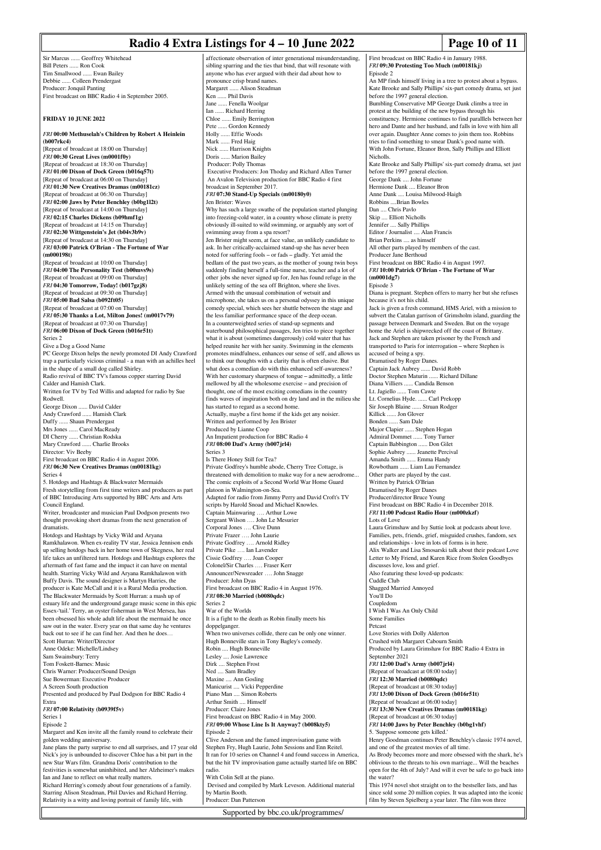# **Radio 4 Extra Listings for 4 – 10 June 2022** Page 10 of 11

First broadcast on BBC Radio 4 in January 1988.

Sir Marcus ...... Geoffrey Whitehead Bill Peters ...... Ron Cook Tim Smallwood ...... Ewan Bailey Debbie ...... Colleen Prendergast Producer: Jonquil Panting First broadcast on BBC Radio 4 in September 2005. **FRIDAY 10 JUNE 2022** *FRI* **00:00 Methuselah's Children by Robert A Heinlein (b007rkc4)** [Repeat of broadcast at 18:00 on Thursday] *FRI* **00:30 Great Lives (m0001f0y)** [Repeat of broadcast at 18:30 on Thursday] *FRI* **01:00 Dixon of Dock Green (b016q57t)** [Repeat of broadcast at 06:00 on Thursday] *FRI* **01:30 New Creatives Dramas (m00181cz)** [Repeat of broadcast at 06:30 on Thursday] *FRI* **02:00 Jaws by Peter Benchley (b0bg1l2t)** [Repeat of broadcast at 14:00 on Thursday] *FRI* **02:15 Charles Dickens (b09hmf1g)** [Repeat of broadcast at 14:15 on Thursday] *FRI* **02:30 Wittgenstein's Jet (b04v3b9v)** [Repeat of broadcast at 14:30 on Thursday] *FRI* **03:00 Patrick O'Brian - The Fortune of War (m000198t)** [Repeat of broadcast at 10:00 on Thursday] *FRI* **04:00 The Personality Test (b00mvs9s)** [Repeat of broadcast at 09:00 on Thursday] *FRI* **04:30 Tomorrow, Today! (b017gzj8)** [Repeat of broadcast at 09:30 on Thursday] *FRI* **05:00 Bad Salsa (b092ft05)** [Repeat of broadcast at 07:00 on Thursday] *FRI* **05:30 Thanks a Lot, Milton Jones! (m0017v79)** [Repeat of broadcast at 07:30 on Thursday] *FRI* **06:00 Dixon of Dock Green (b016r51t)** Series 2 Give a Dog a Good Name PC George Dixon helps the newly promoted DI Andy Crawford trap a particularly vicious criminal - a man with an achilles heel in the shape of a small dog called Shirley. Radio revival of BBC TV's famous copper starring David Calder and Hamish Clark. Written for TV by Ted Willis and adapted for radio by Sue Rodwell. George Dixon ...... David Calder Andy Crawford ...... Hamish Clark Duffy ...... Shaun Prendergast Mrs Jones .... Carol MacReady DI Cherry ...... Christian Rodska Mary Crawford ...... Charlie Brooks Director: Viv Beeby First broadcast on BBC Radio 4 in August 2006. *FRI* **06:30 New Creatives Dramas (m00181kg)** Series 4 5. Hotdogs and Hashtags & Blackwater Mermaids Fresh storytelling from first time writers and producers as part of BBC Introducing Arts supported by BBC Arts and Arts Council England. Writer, broadcaster and musician Paul Dodgson presents two thought provoking short dramas from the next generation of dramatists. Hotdogs and Hashtags by Vicky Wild and Aryana Ramkhalawon. When ex-reality TV star, Jessica Jennison ends up selling hotdogs back in her home town of Skegness, her real life takes an unfiltered turn. Hotdogs and Hashtags explores the aftermath of fast fame and the impact it can have on mental health. Starring Vicky Wild and Aryana Ramkhalawon with Buffy Davis. The sound designer is Martyn Harries, the producer is Kate McCall and it is a Rural Media production. The Blackwater Mermaids by Scott Hurran: a mash up of estuary life and the underground garage music scene in this epic Essex-'tail.' Terry, an oyster fisherman in West Mersea, has been obsessed his whole adult life about the mermaid he once saw out in the water. Every year on that same day he ventures back out to see if he can find her. And then he does… Scott Hurran: Writer/Director Anne Odeke: Michelle/Lindsey Sam Swainsbury: Terry Tom Foskett-Barnes: Music Chris Warner: Producer/Sound Design Sue Bowerman: Executive Producer A Screen South production Presented and produced by Paul Dodgson for BBC Radio 4 Extra *FRI* **07:00 Relativity (b0939f5v)** Series 1 Episode 2 Margaret and Ken invite all the family round to celebrate their golden wedding anniversary. Jane plans the party surprise to end all surprises, and 17 year old Nick's joy is unbounded to discover Chloe has a bit part in the new Star Wars film. Grandma Doris' contribution to the festivities is somewhat uninhibited, and her Alzheimer's makes Ian and Jane to reflect on what really matters. Richard Herring's comedy about four generations of a family. Starring Alison Steadman, Phil Davies and Richard Herring. Relativity is a witty and loving portrait of family life, with

affectionate observation of inter generational misunderstanding, sibling sparring and the ties that bind, that will resonate with anyone who has ever argued with their dad about how to pronounce crisp brand names. Margaret ...... Alison Steadman Ken ...... Phil Davis Jane ...... Fenella Woolgar Ian ...... Richard Herring Chloe ...... Emily Berrington Pete ...... Gordon Kennedy Holly ...... Effie Woods Mark ...... Fred Haig Nick ...... Harrison Knights Doris ...... Marion Bailey Producer: Polly Thomas Executive Producers: Jon Thoday and Richard Allen Turner An Avalon Television production for BBC Radio 4 first broadcast in September 2017. *FRI* **07:30 Stand-Up Specials (m00180y0)** Jen Brister: Waves Why has such a large swathe of the population started plunging into freezing-cold water, in a country whose climate is pretty obviously ill-suited to wild swimming, or arguably any sort of swimming away from a spa resort? Jen Brister might seem, at face value, an unlikely candidate to ask. In her critically-acclaimed stand-up she has never been noted for suffering fools – or fads – gladly. Yet amid the bedlam of the past two years, as the mother of young twin boys suddenly finding herself a full-time nurse, teacher and a lot of other jobs she never signed up for, Jen has found refuge in the unlikely setting of the sea off Brighton, where she lives. Armed with the unusual combination of wetsuit and microphone, she takes us on a personal odyssey in this unique comedy special, which sees her shuttle between the stage and the less familiar performance space of the deep ocean. In a counterweighted series of stand-up segments and waterbound philosophical passages, Jen tries to piece together what it is about (sometimes dangerously) cold water that has helped reunite her with her sanity. Swimming in the elements promotes mindfulness, enhances our sense of self, and allows us to think our thoughts with a clarity that is often elusive. But what does a comedian do with this enhanced self-awareness? With her customary sharpness of tongue – admittedly, a little mellowed by all the wholesome exercise – and precision of thought, one of the most exciting comedians in the country finds waves of inspiration both on dry land and in the milieu she has started to regard as a second hom Actually, maybe a first home if the kids get any noisier. Written and performed by Jen Brister Produced by Lianne Coop An Impatient production for BBC Radio 4 *FRI* **08:00 Dad's Army (b007jrl4)** Series 3 Is There Honey Still for Tea? Private Godfrey's humble abode, Cherry Tree Cottage, is threatened with demolition to make way for a new aerodrome. The comic exploits of a Second World War Home Guard platoon in Walmington-on-Sea. Adapted for radio from Jimmy Perry and David Croft's TV scripts by Harold Snoad and Michael Knowles. Captain Mainwaring …. Arthur Lowe Sergeant Wilson …. John Le Mesurier Corporal Jones …. Clive Dunn Private Frazer …. John Laurie Private Godfrey …. Arnold Ridley Private Pike …. Ian Lavender Cissie Godfrey …. Joan Cooper Colonel/Sir Charles …. Fraser Kerr Announcer/Newsreader …. John Snagge Producer: John Dyas First broadcast on BBC Radio 4 in August 1976. *FRI* **08:30 Married (b0080qdc)** Series 2 War of the Worlds It is a fight to the death as Robin finally meets his doppelganger. When two universes collide, there can be only one winner. Hugh Bonneville stars in Tony Bagley's comedy. Robin .... Hugh Bonneville Lesley .... Josie Lawrence Dirk .... Stephen Frost Ned .... Sam Bradley Maxine .... Ann Gosling Manicurist .... Vicki Pepperdine Piano Man .... Simon Roberts Arthur Smith .... Himself Producer: Claire Jones First broadcast on BBC Radio 4 in May 2000. *FRI* **09:00 Whose Line Is It Anyway? (b008kty5)** Episode 2 Clive Anderson and the famed improvisation game with Stephen Fry, Hugh Laurie, John Sessions and Enn Reitel. It ran for 10 series on Channel 4 and found success in America, but the hit TV improvisation game actually started life on BBC radio. With Colin Sell at the piano. Devised and compiled by Mark Leveson. Additional material by Martin Booth. Producer: Dan Patterson

*FRI* **09:30 Protesting Too Much (m00181kj)** Episode 2 An MP finds himself living in a tree to protest about a bypass. Kate Brooke and Sally Phillips' six-part comedy drama, set just before the 1997 general election. Bumbling Conservative MP George Dank climbs a tree in protest at the building of the new bypass through his constituency. Hermione continues to find paralllels between her hero and Dante and her husband, and falls in love with him all over again. Daughter Anne comes to join them too. Robbins tries to find something to smear Dank's good name with. With John Fortune, Eleanor Bron, Sally Phillips and Elliott Nicholls. Kate Brooke and Sally Phillips' six-part comedy drama, set just before the 1997 general election. George Dank .... John Fortune Hermione Dank .... Eleanor Bron Anne Dank .... Louisa Milwood-Haigh Robbins ....Brian Bowles Dan .... Chris Pavlo Skip .... Elliott Nicholls Jennifer .... Sally Phillips Editor / Journalist .... Alan Francis Brian Perkins .... as himself All other parts played by members of the cast. Producer Jane Berthoud First broadcast on BBC Radio 4 in August 1997. *FRI* **10:00 Patrick O'Brian - The Fortune of War (m0001dg7)** Episode 3 Diana is pregnant. Stephen offers to marry her but she refuses because it's not his child. Jack is given a fresh command, HMS Ariel, with a mission to subvert the Catalan garrison of Grimsholm island, guarding the passage between Denmark and Sweden. But on the voyage home the Ariel is shipwrecked off the coast of Brittany. Jack and Stephen are taken prisoner by the French and transported to Paris for interrogation – where Stephen is accused of being a spy. Dramatised by Roger Danes. Captain Jack Aubrey ...... David Robb Doctor Stephen Maturin . Diana Villiers ...... Candida Benson Lt. Jagiello ...... Tom Cawte Lt. Cornelius Hyde. ...... Carl Prekopp Sir Joseph Blaine ...... Struan Rodger Killick ...... Jon Glover Bonden ...... Sam Dale Major Clapier ...... Stephen Hogan Admiral Dommet ...... Tony Turner Captain Babbington ...... Don Gilet Sophie Aubrey ...... Jeanette Percival Amanda Smith ...... Emma Handy Rowbotham ...... Liam Lau Fernandez Other parts are played by the cast. Written by Patrick O'Brian Dramatised by Roger Danes Producer/director Bruce Young First broadcast on BBC Radio 4 in December 2018. *FRI* **11:00 Podcast Radio Hour (m000zkzf)** Lots of Love Laura Grimshaw and Isy Suttie look at podcasts about love. Families, pets, friends, grief, misguided crushes, fandom, sex and relationships - love in lots of forms is in here. Alix Walker and Lisa Smosarski talk about their podcast Love Letter to My Friend, and Karen Rice from Stolen Goodbyes discusses love, loss and grief. Also featuring these loved-up podcasts: Cuddle Club Shagged Married Annoyed You'll Do Coupledom I Wish I Was An Only Child Some Families Petcast Love Stories with Dolly Alderton Crushed with Margaret Cabourn Smith Produced by Laura Grimshaw for BBC Radio 4 Extra in September 2021 *FRI* **12:00 Dad's Army (b007jrl4)** [Repeat of broadcast at 08:00 today] *FRI* **12:30 Married (b0080qdc)** [Repeat of broadcast at 08:30 today] *FRI* **13:00 Dixon of Dock Green (b016r51t)** [Repeat of broadcast at 06:00 today] *FRI* **13:30 New Creatives Dramas (m00181kg)** [Repeat of broadcast at 06:30 today] *FRI* **14:00 Jaws by Peter Benchley (b0bg1vhf)** 5. 'Suppose someone gets killed.' Henry Goodman continues Peter Benchley's classic 1974 novel, and one of the greatest movies of all time. As Brody becomes more and more obsessed with the shark, he's oblivious to the threats to his own marriage... Will the beaches open for the 4th of July? And will it ever be safe to go back into the water? This 1974 novel shot straight on to the bestseller lists, and has since sold some 20 million copies. It was adapted into the iconic

film by Steven Spielberg a year later. The film won three

Supported by bbc.co.uk/programmes/